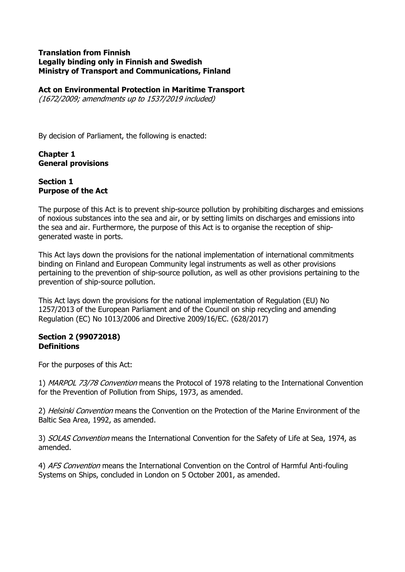#### **Translation from Finnish Legally binding only in Finnish and Swedish Ministry of Transport and Communications, Finland**

### **Act on Environmental Protection in Maritime Transport**

(1672/2009; amendments up to 1537/2019 included)

By decision of Parliament, the following is enacted:

### **Chapter 1 General provisions**

### **Section 1 Purpose of the Act**

The purpose of this Act is to prevent ship-source pollution by prohibiting discharges and emissions of noxious substances into the sea and air, or by setting limits on discharges and emissions into the sea and air. Furthermore, the purpose of this Act is to organise the reception of shipgenerated waste in ports.

This Act lays down the provisions for the national implementation of international commitments binding on Finland and European Community legal instruments as well as other provisions pertaining to the prevention of ship-source pollution, as well as other provisions pertaining to the prevention of ship-source pollution.

This Act lays down the provisions for the national implementation of Regulation (EU) No 1257/2013 of the European Parliament and of the Council on ship recycling and amending Regulation (EC) No 1013/2006 and Directive 2009/16/EC. (628/2017)

### **Section 2 (99072018) Definitions**

For the purposes of this Act:

1) MARPOL 73/78 Convention means the Protocol of 1978 relating to the International Convention for the Prevention of Pollution from Ships, 1973, as amended.

2) Helsinki Convention means the Convention on the Protection of the Marine Environment of the Baltic Sea Area, 1992, as amended.

3) SOLAS Convention means the International Convention for the Safety of Life at Sea, 1974, as amended.

4) AFS Convention means the International Convention on the Control of Harmful Anti-fouling Systems on Ships, concluded in London on 5 October 2001, as amended.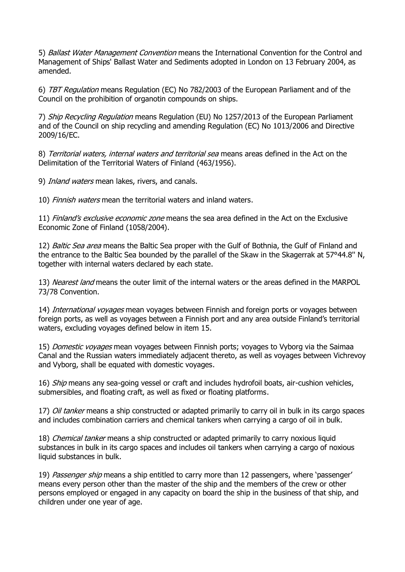5) Ballast Water Management Convention means the International Convention for the Control and Management of Ships' Ballast Water and Sediments adopted in London on 13 February 2004, as amended.

6) TBT Regulation means Regulation (EC) No 782/2003 of the European Parliament and of the Council on the prohibition of organotin compounds on ships.

7) Ship Recycling Regulation means Regulation (EU) No 1257/2013 of the European Parliament and of the Council on ship recycling and amending Regulation (EC) No 1013/2006 and Directive 2009/16/EC.

8) Territorial waters, internal waters and territorial sea means areas defined in the Act on the Delimitation of the Territorial Waters of Finland (463/1956).

9) Inland waters mean lakes, rivers, and canals.

10) Finnish waters mean the territorial waters and inland waters.

11) Finland's exclusive economic zone means the sea area defined in the Act on the Exclusive Economic Zone of Finland (1058/2004).

12) Baltic Sea area means the Baltic Sea proper with the Gulf of Bothnia, the Gulf of Finland and the entrance to the Baltic Sea bounded by the parallel of the Skaw in the Skagerrak at 57°44.8'' N, together with internal waters declared by each state.

13) Nearest land means the outer limit of the internal waters or the areas defined in the MARPOL 73/78 Convention.

14) International voyages mean voyages between Finnish and foreign ports or voyages between foreign ports, as well as voyages between a Finnish port and any area outside Finland's territorial waters, excluding voyages defined below in item 15.

15) Domestic voyages mean voyages between Finnish ports; voyages to Vyborg via the Saimaa Canal and the Russian waters immediately adjacent thereto, as well as voyages between Vichrevoy and Vyborg, shall be equated with domestic voyages.

16) Ship means any sea-going vessel or craft and includes hydrofoil boats, air-cushion vehicles, submersibles, and floating craft, as well as fixed or floating platforms.

17) Oil tanker means a ship constructed or adapted primarily to carry oil in bulk in its cargo spaces and includes combination carriers and chemical tankers when carrying a cargo of oil in bulk.

18) *Chemical tanker* means a ship constructed or adapted primarily to carry noxious liquid substances in bulk in its cargo spaces and includes oil tankers when carrying a cargo of noxious liquid substances in bulk.

19) Passenger ship means a ship entitled to carry more than 12 passengers, where 'passenger' means every person other than the master of the ship and the members of the crew or other persons employed or engaged in any capacity on board the ship in the business of that ship, and children under one year of age.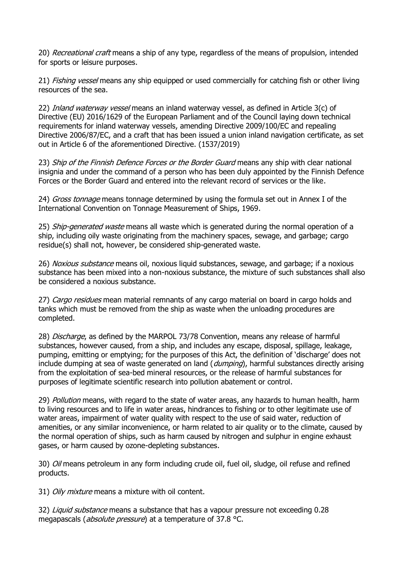20) Recreational craft means a ship of any type, regardless of the means of propulsion, intended for sports or leisure purposes.

21) *Fishing vessel* means any ship equipped or used commercially for catching fish or other living resources of the sea.

22) Inland waterway vessel means an inland waterway vessel, as defined in Article 3(c) of Directive (EU) 2016/1629 of the European Parliament and of the Council laying down technical requirements for inland waterway vessels, amending Directive 2009/100/EC and repealing Directive 2006/87/EC, and a craft that has been issued a union inland navigation certificate, as set out in Article 6 of the aforementioned Directive. (1537/2019)

23) Ship of the Finnish Defence Forces or the Border Guard means any ship with clear national insignia and under the command of a person who has been duly appointed by the Finnish Defence Forces or the Border Guard and entered into the relevant record of services or the like.

24) *Gross tonnage* means tonnage determined by using the formula set out in Annex I of the International Convention on Tonnage Measurement of Ships, 1969.

25) Ship-generated waste means all waste which is generated during the normal operation of a ship, including oily waste originating from the machinery spaces, sewage, and garbage; cargo residue(s) shall not, however, be considered ship-generated waste.

26) Noxious substance means oil, noxious liquid substances, sewage, and garbage; if a noxious substance has been mixed into a non-noxious substance, the mixture of such substances shall also be considered a noxious substance.

27) Cargo residues mean material remnants of any cargo material on board in cargo holds and tanks which must be removed from the ship as waste when the unloading procedures are completed.

28) Discharge, as defined by the MARPOL 73/78 Convention, means any release of harmful substances, however caused, from a ship, and includes any escape, disposal, spillage, leakage, pumping, emitting or emptying; for the purposes of this Act, the definition of 'discharge' does not include dumping at sea of waste generated on land  $(dumpinq)$ , harmful substances directly arising from the exploitation of sea-bed mineral resources, or the release of harmful substances for purposes of legitimate scientific research into pollution abatement or control.

29) *Pollution* means, with regard to the state of water areas, any hazards to human health, harm to living resources and to life in water areas, hindrances to fishing or to other legitimate use of water areas, impairment of water quality with respect to the use of said water, reduction of amenities, or any similar inconvenience, or harm related to air quality or to the climate, caused by the normal operation of ships, such as harm caused by nitrogen and sulphur in engine exhaust gases, or harm caused by ozone-depleting substances.

30) *Oil* means petroleum in any form including crude oil, fuel oil, sludge, oil refuse and refined products.

31) Oily mixture means a mixture with oil content.

32) Liquid substance means a substance that has a vapour pressure not exceeding 0.28 megapascals (*absolute pressure*) at a temperature of 37.8 °C.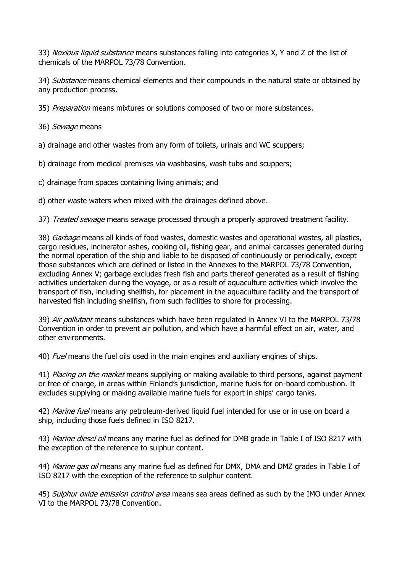33) Noxious liquid substance means substances falling into categories X, Y and Z of the list of chemicals of the MARPOL 73/78 Convention.

34) Substance means chemical elements and their compounds in the natural state or obtained by any production process.

35) Preparation means mixtures or solutions composed of two or more substances.

36) Sewage means

a) drainage and other wastes from any form of toilets, urinals and WC scuppers;

b) drainage from medical premises via washbasins, wash tubs and scuppers;

c) drainage from spaces containing living animals; and

d) other waste waters when mixed with the drainages defined above.

37) Treated sewage means sewage processed through a properly approved treatment facility.

38) Garbage means all kinds of food wastes, domestic wastes and operational wastes, all plastics, cargo residues, incinerator ashes, cooking oil, fishing gear, and animal carcasses generated during the normal operation of the ship and liable to be disposed of continuously or periodically, except those substances which are defined or listed in the Annexes to the MARPOL 73/78 Convention, excluding Annex V; garbage excludes fresh fish and parts thereof generated as a result of fishing activities undertaken during the voyage, or as a result of aquaculture activities which involve the transport of fish, including shellfish, for placement in the aquaculture facility and the transport of harvested fish including shellfish, from such facilities to shore for processing.

39) Air pollutant means substances which have been regulated in Annex VI to the MARPOL 73/78 Convention in order to prevent air pollution, and which have a harmful effect on air, water, and other environments.

40) *Fuel* means the fuel oils used in the main engines and auxiliary engines of ships.

41) Placing on the market means supplying or making available to third persons, against payment or free of charge, in areas within Finland's jurisdiction, marine fuels for on-board combustion. It excludes supplying or making available marine fuels for export in ships' cargo tanks.

42) *Marine fuel* means any petroleum-derived liquid fuel intended for use or in use on board a ship, including those fuels defined in ISO 8217.

43) Marine diesel oil means any marine fuel as defined for DMB grade in Table I of ISO 8217 with the exception of the reference to sulphur content.

44) Marine gas oil means any marine fuel as defined for DMX, DMA and DMZ grades in Table I of ISO 8217 with the exception of the reference to sulphur content.

45) Sulphur oxide emission control area means sea areas defined as such by the IMO under Annex VI to the MARPOL 73/78 Convention.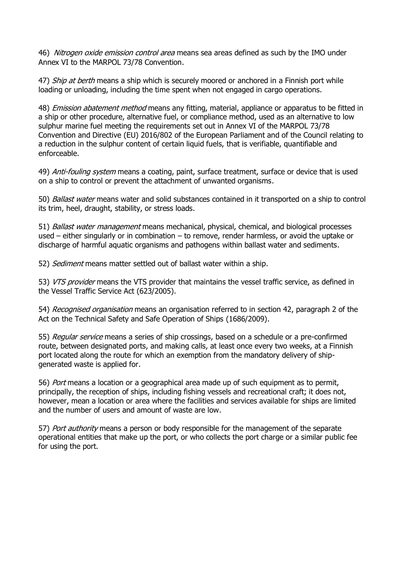46) Nitrogen oxide emission control area means sea areas defined as such by the IMO under Annex VI to the MARPOL 73/78 Convention.

47) Ship at berth means a ship which is securely moored or anchored in a Finnish port while loading or unloading, including the time spent when not engaged in cargo operations.

48) *Emission abatement method* means any fitting, material, appliance or apparatus to be fitted in a ship or other procedure, alternative fuel, or compliance method, used as an alternative to low sulphur marine fuel meeting the requirements set out in Annex VI of the MARPOL 73/78 Convention and Directive (EU) 2016/802 of the European Parliament and of the Council relating to a reduction in the sulphur content of certain liquid fuels, that is verifiable, quantifiable and enforceable.

49) Anti-fouling system means a coating, paint, surface treatment, surface or device that is used on a ship to control or prevent the attachment of unwanted organisms.

50) *Ballast water* means water and solid substances contained in it transported on a ship to control its trim, heel, draught, stability, or stress loads.

51) *Ballast water management* means mechanical, physical, chemical, and biological processes used – either singularly or in combination – to remove, render harmless, or avoid the uptake or discharge of harmful aquatic organisms and pathogens within ballast water and sediments.

52) Sediment means matter settled out of ballast water within a ship.

53) VTS provider means the VTS provider that maintains the vessel traffic service, as defined in the Vessel Traffic Service Act (623/2005).

54) Recognised organisation means an organisation referred to in section 42, paragraph 2 of the Act on the Technical Safety and Safe Operation of Ships (1686/2009).

55) Regular service means a series of ship crossings, based on a schedule or a pre-confirmed route, between designated ports, and making calls, at least once every two weeks, at a Finnish port located along the route for which an exemption from the mandatory delivery of shipgenerated waste is applied for.

56) Port means a location or a geographical area made up of such equipment as to permit, principally, the reception of ships, including fishing vessels and recreational craft; it does not, however, mean a location or area where the facilities and services available for ships are limited and the number of users and amount of waste are low.

57) Port authority means a person or body responsible for the management of the separate operational entities that make up the port, or who collects the port charge or a similar public fee for using the port.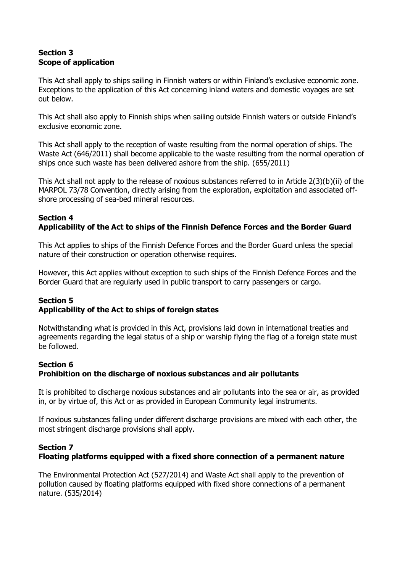# **Section 3 Scope of application**

This Act shall apply to ships sailing in Finnish waters or within Finland's exclusive economic zone. Exceptions to the application of this Act concerning inland waters and domestic voyages are set out below.

This Act shall also apply to Finnish ships when sailing outside Finnish waters or outside Finland's exclusive economic zone.

This Act shall apply to the reception of waste resulting from the normal operation of ships. The Waste Act (646/2011) shall become applicable to the waste resulting from the normal operation of ships once such waste has been delivered ashore from the ship. (655/2011)

This Act shall not apply to the release of noxious substances referred to in Article 2(3)(b)(ii) of the MARPOL 73/78 Convention, directly arising from the exploration, exploitation and associated offshore processing of sea-bed mineral resources.

### **Section 4 Applicability of the Act to ships of the Finnish Defence Forces and the Border Guard**

This Act applies to ships of the Finnish Defence Forces and the Border Guard unless the special nature of their construction or operation otherwise requires.

However, this Act applies without exception to such ships of the Finnish Defence Forces and the Border Guard that are regularly used in public transport to carry passengers or cargo.

#### **Section 5 Applicability of the Act to ships of foreign states**

Notwithstanding what is provided in this Act, provisions laid down in international treaties and agreements regarding the legal status of a ship or warship flying the flag of a foreign state must be followed.

### **Section 6**

# **Prohibition on the discharge of noxious substances and air pollutants**

It is prohibited to discharge noxious substances and air pollutants into the sea or air, as provided in, or by virtue of, this Act or as provided in European Community legal instruments.

If noxious substances falling under different discharge provisions are mixed with each other, the most stringent discharge provisions shall apply.

### **Section 7**

# **Floating platforms equipped with a fixed shore connection of a permanent nature**

The Environmental Protection Act (527/2014) and Waste Act shall apply to the prevention of pollution caused by floating platforms equipped with fixed shore connections of a permanent nature. (535/2014)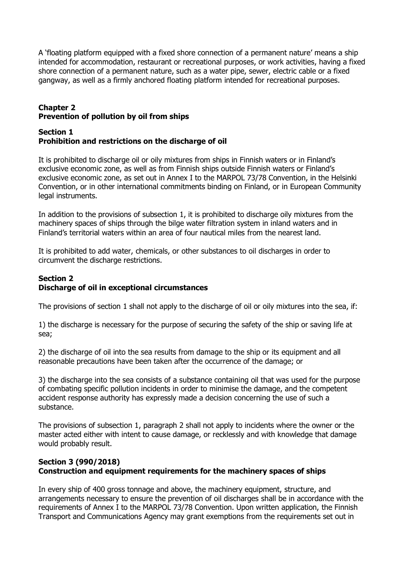A 'floating platform equipped with a fixed shore connection of a permanent nature' means a ship intended for accommodation, restaurant or recreational purposes, or work activities, having a fixed shore connection of a permanent nature, such as a water pipe, sewer, electric cable or a fixed gangway, as well as a firmly anchored floating platform intended for recreational purposes.

# **Chapter 2 Prevention of pollution by oil from ships**

### **Section 1 Prohibition and restrictions on the discharge of oil**

It is prohibited to discharge oil or oily mixtures from ships in Finnish waters or in Finland's exclusive economic zone, as well as from Finnish ships outside Finnish waters or Finland's exclusive economic zone, as set out in Annex I to the MARPOL 73/78 Convention, in the Helsinki Convention, or in other international commitments binding on Finland, or in European Community legal instruments.

In addition to the provisions of subsection 1, it is prohibited to discharge oily mixtures from the machinery spaces of ships through the bilge water filtration system in inland waters and in Finland's territorial waters within an area of four nautical miles from the nearest land.

It is prohibited to add water, chemicals, or other substances to oil discharges in order to circumvent the discharge restrictions.

# **Section 2 Discharge of oil in exceptional circumstances**

The provisions of section 1 shall not apply to the discharge of oil or oily mixtures into the sea, if:

1) the discharge is necessary for the purpose of securing the safety of the ship or saving life at sea;

2) the discharge of oil into the sea results from damage to the ship or its equipment and all reasonable precautions have been taken after the occurrence of the damage; or

3) the discharge into the sea consists of a substance containing oil that was used for the purpose of combating specific pollution incidents in order to minimise the damage, and the competent accident response authority has expressly made a decision concerning the use of such a substance.

The provisions of subsection 1, paragraph 2 shall not apply to incidents where the owner or the master acted either with intent to cause damage, or recklessly and with knowledge that damage would probably result.

# **Section 3 (990/2018) Construction and equipment requirements for the machinery spaces of ships**

In every ship of 400 gross tonnage and above, the machinery equipment, structure, and arrangements necessary to ensure the prevention of oil discharges shall be in accordance with the requirements of Annex I to the MARPOL 73/78 Convention. Upon written application, the Finnish Transport and Communications Agency may grant exemptions from the requirements set out in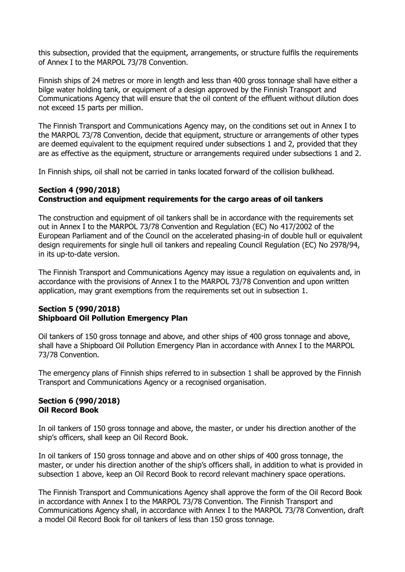this subsection, provided that the equipment, arrangements, or structure fulfils the requirements of Annex I to the MARPOL 73/78 Convention.

Finnish ships of 24 metres or more in length and less than 400 gross tonnage shall have either a bilge water holding tank, or equipment of a design approved by the Finnish Transport and Communications Agency that will ensure that the oil content of the effluent without dilution does not exceed 15 parts per million.

The Finnish Transport and Communications Agency may, on the conditions set out in Annex I to the MARPOL 73/78 Convention, decide that equipment, structure or arrangements of other types are deemed equivalent to the equipment required under subsections 1 and 2, provided that they are as effective as the equipment, structure or arrangements required under subsections 1 and 2.

In Finnish ships, oil shall not be carried in tanks located forward of the collision bulkhead.

# **Section 4 (990/2018) Construction and equipment requirements for the cargo areas of oil tankers**

The construction and equipment of oil tankers shall be in accordance with the requirements set out in Annex I to the MARPOL 73/78 Convention and Regulation (EC) No 417/2002 of the European Parliament and of the Council on the accelerated phasing-in of double hull or equivalent design requirements for single hull oil tankers and repealing Council Regulation (EC) No 2978/94, in its up-to-date version.

The Finnish Transport and Communications Agency may issue a regulation on equivalents and, in accordance with the provisions of Annex I to the MARPOL 73/78 Convention and upon written application, may grant exemptions from the requirements set out in subsection 1.

### **Section 5 (990/2018) Shipboard Oil Pollution Emergency Plan**

Oil tankers of 150 gross tonnage and above, and other ships of 400 gross tonnage and above, shall have a Shipboard Oil Pollution Emergency Plan in accordance with Annex I to the MARPOL 73/78 Convention.

The emergency plans of Finnish ships referred to in subsection 1 shall be approved by the Finnish Transport and Communications Agency or a recognised organisation.

### **Section 6 (990/2018) Oil Record Book**

In oil tankers of 150 gross tonnage and above, the master, or under his direction another of the ship's officers, shall keep an Oil Record Book.

In oil tankers of 150 gross tonnage and above and on other ships of 400 gross tonnage, the master, or under his direction another of the ship's officers shall, in addition to what is provided in subsection 1 above, keep an Oil Record Book to record relevant machinery space operations.

The Finnish Transport and Communications Agency shall approve the form of the Oil Record Book in accordance with Annex I to the MARPOL 73/78 Convention. The Finnish Transport and Communications Agency shall, in accordance with Annex I to the MARPOL 73/78 Convention, draft a model Oil Record Book for oil tankers of less than 150 gross tonnage.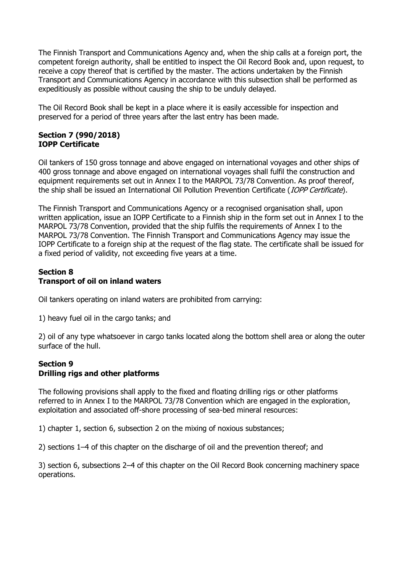The Finnish Transport and Communications Agency and, when the ship calls at a foreign port, the competent foreign authority, shall be entitled to inspect the Oil Record Book and, upon request, to receive a copy thereof that is certified by the master. The actions undertaken by the Finnish Transport and Communications Agency in accordance with this subsection shall be performed as expeditiously as possible without causing the ship to be unduly delayed.

The Oil Record Book shall be kept in a place where it is easily accessible for inspection and preserved for a period of three years after the last entry has been made.

### **Section 7 (990/2018) IOPP Certificate**

Oil tankers of 150 gross tonnage and above engaged on international voyages and other ships of 400 gross tonnage and above engaged on international voyages shall fulfil the construction and equipment requirements set out in Annex I to the MARPOL 73/78 Convention. As proof thereof, the ship shall be issued an International Oil Pollution Prevention Certificate (*IOPP Certificate*).

The Finnish Transport and Communications Agency or a recognised organisation shall, upon written application, issue an IOPP Certificate to a Finnish ship in the form set out in Annex I to the MARPOL 73/78 Convention, provided that the ship fulfils the requirements of Annex I to the MARPOL 73/78 Convention. The Finnish Transport and Communications Agency may issue the IOPP Certificate to a foreign ship at the request of the flag state. The certificate shall be issued for a fixed period of validity, not exceeding five years at a time.

### **Section 8 Transport of oil on inland waters**

Oil tankers operating on inland waters are prohibited from carrying:

1) heavy fuel oil in the cargo tanks; and

2) oil of any type whatsoever in cargo tanks located along the bottom shell area or along the outer surface of the hull.

### **Section 9 Drilling rigs and other platforms**

The following provisions shall apply to the fixed and floating drilling rigs or other platforms referred to in Annex I to the MARPOL 73/78 Convention which are engaged in the exploration, exploitation and associated off-shore processing of sea-bed mineral resources:

1) chapter 1, section 6, subsection 2 on the mixing of noxious substances;

2) sections 1–4 of this chapter on the discharge of oil and the prevention thereof; and

3) section 6, subsections 2–4 of this chapter on the Oil Record Book concerning machinery space operations.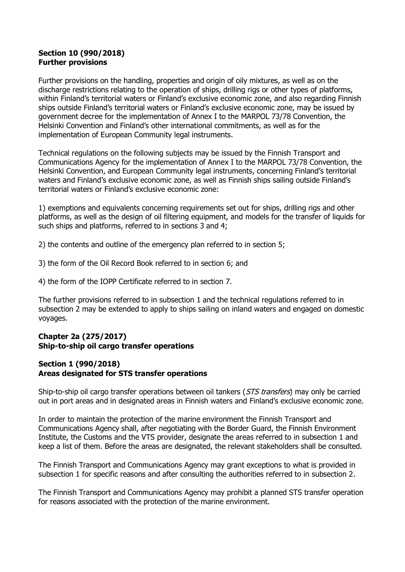#### **Section 10 (990/2018) Further provisions**

Further provisions on the handling, properties and origin of oily mixtures, as well as on the discharge restrictions relating to the operation of ships, drilling rigs or other types of platforms, within Finland's territorial waters or Finland's exclusive economic zone, and also regarding Finnish ships outside Finland's territorial waters or Finland's exclusive economic zone, may be issued by government decree for the implementation of Annex I to the MARPOL 73/78 Convention, the Helsinki Convention and Finland's other international commitments, as well as for the implementation of European Community legal instruments.

Technical regulations on the following subjects may be issued by the Finnish Transport and Communications Agency for the implementation of Annex I to the MARPOL 73/78 Convention, the Helsinki Convention, and European Community legal instruments, concerning Finland's territorial waters and Finland's exclusive economic zone, as well as Finnish ships sailing outside Finland's territorial waters or Finland's exclusive economic zone:

1) exemptions and equivalents concerning requirements set out for ships, drilling rigs and other platforms, as well as the design of oil filtering equipment, and models for the transfer of liquids for such ships and platforms, referred to in sections 3 and 4;

2) the contents and outline of the emergency plan referred to in section 5;

- 3) the form of the Oil Record Book referred to in section 6; and
- 4) the form of the IOPP Certificate referred to in section 7.

The further provisions referred to in subsection 1 and the technical regulations referred to in subsection 2 may be extended to apply to ships sailing on inland waters and engaged on domestic voyages.

### **Chapter 2a (275/2017) Ship-to-ship oil cargo transfer operations**

### **Section 1 (990/2018) Areas designated for STS transfer operations**

Ship-to-ship oil cargo transfer operations between oil tankers (STS transfers) may only be carried out in port areas and in designated areas in Finnish waters and Finland's exclusive economic zone.

In order to maintain the protection of the marine environment the Finnish Transport and Communications Agency shall, after negotiating with the Border Guard, the Finnish Environment Institute, the Customs and the VTS provider, designate the areas referred to in subsection 1 and keep a list of them. Before the areas are designated, the relevant stakeholders shall be consulted.

The Finnish Transport and Communications Agency may grant exceptions to what is provided in subsection 1 for specific reasons and after consulting the authorities referred to in subsection 2.

The Finnish Transport and Communications Agency may prohibit a planned STS transfer operation for reasons associated with the protection of the marine environment.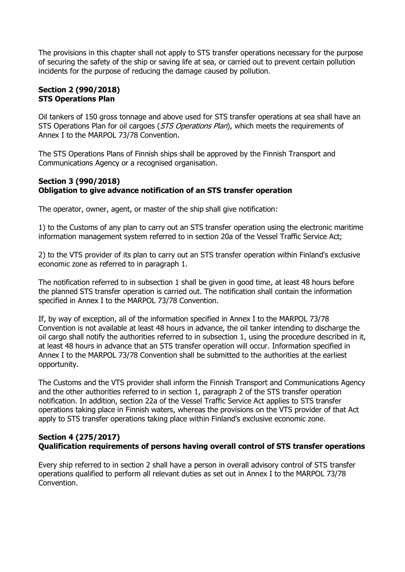The provisions in this chapter shall not apply to STS transfer operations necessary for the purpose of securing the safety of the ship or saving life at sea, or carried out to prevent certain pollution incidents for the purpose of reducing the damage caused by pollution.

### **Section 2 (990/2018) STS Operations Plan**

Oil tankers of 150 gross tonnage and above used for STS transfer operations at sea shall have an STS Operations Plan for oil cargoes (*STS Operations Plan*), which meets the requirements of Annex I to the MARPOL 73/78 Convention.

The STS Operations Plans of Finnish ships shall be approved by the Finnish Transport and Communications Agency or a recognised organisation.

### **Section 3 (990/2018) Obligation to give advance notification of an STS transfer operation**

The operator, owner, agent, or master of the ship shall give notification:

1) to the Customs of any plan to carry out an STS transfer operation using the electronic maritime information management system referred to in section 20a of the Vessel Traffic Service Act;

2) to the VTS provider of its plan to carry out an STS transfer operation within Finland's exclusive economic zone as referred to in paragraph 1.

The notification referred to in subsection 1 shall be given in good time, at least 48 hours before the planned STS transfer operation is carried out. The notification shall contain the information specified in Annex I to the MARPOL 73/78 Convention.

If, by way of exception, all of the information specified in Annex I to the MARPOL 73/78 Convention is not available at least 48 hours in advance, the oil tanker intending to discharge the oil cargo shall notify the authorities referred to in subsection 1, using the procedure described in it, at least 48 hours in advance that an STS transfer operation will occur. Information specified in Annex I to the MARPOL 73/78 Convention shall be submitted to the authorities at the earliest opportunity.

The Customs and the VTS provider shall inform the Finnish Transport and Communications Agency and the other authorities referred to in section 1, paragraph 2 of the STS transfer operation notification. In addition, section 22a of the Vessel Traffic Service Act applies to STS transfer operations taking place in Finnish waters, whereas the provisions on the VTS provider of that Act apply to STS transfer operations taking place within Finland's exclusive economic zone.

### **Section 4 (275/2017) Qualification requirements of persons having overall control of STS transfer operations**

Every ship referred to in section 2 shall have a person in overall advisory control of STS transfer operations qualified to perform all relevant duties as set out in Annex I to the MARPOL 73/78 Convention.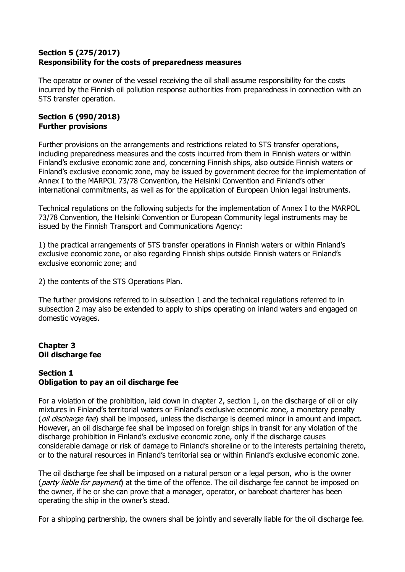# **Section 5 (275/2017) Responsibility for the costs of preparedness measures**

The operator or owner of the vessel receiving the oil shall assume responsibility for the costs incurred by the Finnish oil pollution response authorities from preparedness in connection with an STS transfer operation.

### **Section 6 (990/2018) Further provisions**

Further provisions on the arrangements and restrictions related to STS transfer operations, including preparedness measures and the costs incurred from them in Finnish waters or within Finland's exclusive economic zone and, concerning Finnish ships, also outside Finnish waters or Finland's exclusive economic zone, may be issued by government decree for the implementation of Annex I to the MARPOL 73/78 Convention, the Helsinki Convention and Finland's other international commitments, as well as for the application of European Union legal instruments.

Technical regulations on the following subjects for the implementation of Annex I to the MARPOL 73/78 Convention, the Helsinki Convention or European Community legal instruments may be issued by the Finnish Transport and Communications Agency:

1) the practical arrangements of STS transfer operations in Finnish waters or within Finland's exclusive economic zone, or also regarding Finnish ships outside Finnish waters or Finland's exclusive economic zone; and

2) the contents of the STS Operations Plan.

The further provisions referred to in subsection 1 and the technical regulations referred to in subsection 2 may also be extended to apply to ships operating on inland waters and engaged on domestic voyages.

# **Chapter 3 Oil discharge fee**

#### **Section 1 Obligation to pay an oil discharge fee**

For a violation of the prohibition, laid down in chapter 2, section 1, on the discharge of oil or oily mixtures in Finland's territorial waters or Finland's exclusive economic zone, a monetary penalty (*oil discharge fee*) shall be imposed, unless the discharge is deemed minor in amount and impact. However, an oil discharge fee shall be imposed on foreign ships in transit for any violation of the discharge prohibition in Finland's exclusive economic zone, only if the discharge causes considerable damage or risk of damage to Finland's shoreline or to the interests pertaining thereto, or to the natural resources in Finland's territorial sea or within Finland's exclusive economic zone.

The oil discharge fee shall be imposed on a natural person or a legal person, who is the owner (*party liable for payment*) at the time of the offence. The oil discharge fee cannot be imposed on the owner, if he or she can prove that a manager, operator, or bareboat charterer has been operating the ship in the owner's stead.

For a shipping partnership, the owners shall be jointly and severally liable for the oil discharge fee.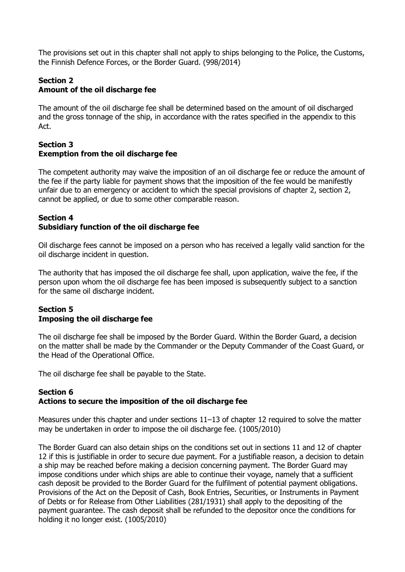The provisions set out in this chapter shall not apply to ships belonging to the Police, the Customs, the Finnish Defence Forces, or the Border Guard. (998/2014)

#### **Section 2 Amount of the oil discharge fee**

The amount of the oil discharge fee shall be determined based on the amount of oil discharged and the gross tonnage of the ship, in accordance with the rates specified in the appendix to this Act.

### **Section 3 Exemption from the oil discharge fee**

The competent authority may waive the imposition of an oil discharge fee or reduce the amount of the fee if the party liable for payment shows that the imposition of the fee would be manifestly unfair due to an emergency or accident to which the special provisions of chapter 2, section 2, cannot be applied, or due to some other comparable reason.

### **Section 4 Subsidiary function of the oil discharge fee**

Oil discharge fees cannot be imposed on a person who has received a legally valid sanction for the oil discharge incident in question.

The authority that has imposed the oil discharge fee shall, upon application, waive the fee, if the person upon whom the oil discharge fee has been imposed is subsequently subject to a sanction for the same oil discharge incident.

# **Section 5 Imposing the oil discharge fee**

The oil discharge fee shall be imposed by the Border Guard. Within the Border Guard, a decision on the matter shall be made by the Commander or the Deputy Commander of the Coast Guard, or the Head of the Operational Office.

The oil discharge fee shall be payable to the State.

### **Section 6 Actions to secure the imposition of the oil discharge fee**

Measures under this chapter and under sections 11–13 of chapter 12 required to solve the matter may be undertaken in order to impose the oil discharge fee. (1005/2010)

The Border Guard can also detain ships on the conditions set out in sections 11 and 12 of chapter 12 if this is justifiable in order to secure due payment. For a justifiable reason, a decision to detain a ship may be reached before making a decision concerning payment. The Border Guard may impose conditions under which ships are able to continue their voyage, namely that a sufficient cash deposit be provided to the Border Guard for the fulfilment of potential payment obligations. Provisions of the Act on the Deposit of Cash, Book Entries, Securities, or Instruments in Payment of Debts or for Release from Other Liabilities (281/1931) shall apply to the depositing of the payment guarantee. The cash deposit shall be refunded to the depositor once the conditions for holding it no longer exist. (1005/2010)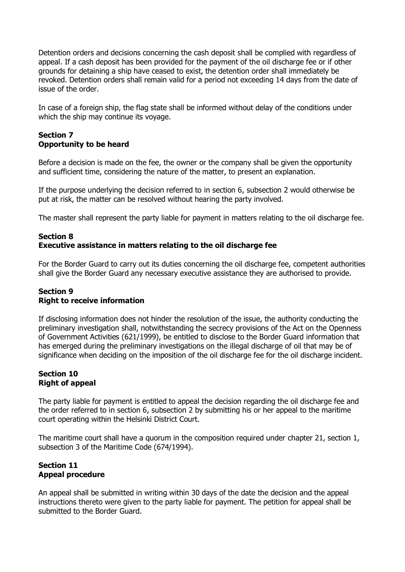Detention orders and decisions concerning the cash deposit shall be complied with regardless of appeal. If a cash deposit has been provided for the payment of the oil discharge fee or if other grounds for detaining a ship have ceased to exist, the detention order shall immediately be revoked. Detention orders shall remain valid for a period not exceeding 14 days from the date of issue of the order.

In case of a foreign ship, the flag state shall be informed without delay of the conditions under which the ship may continue its voyage.

# **Section 7 Opportunity to be heard**

Before a decision is made on the fee, the owner or the company shall be given the opportunity and sufficient time, considering the nature of the matter, to present an explanation.

If the purpose underlying the decision referred to in section 6, subsection 2 would otherwise be put at risk, the matter can be resolved without hearing the party involved.

The master shall represent the party liable for payment in matters relating to the oil discharge fee.

# **Section 8 Executive assistance in matters relating to the oil discharge fee**

For the Border Guard to carry out its duties concerning the oil discharge fee, competent authorities shall give the Border Guard any necessary executive assistance they are authorised to provide.

### **Section 9 Right to receive information**

If disclosing information does not hinder the resolution of the issue, the authority conducting the preliminary investigation shall, notwithstanding the secrecy provisions of the Act on the Openness of Government Activities (621/1999), be entitled to disclose to the Border Guard information that has emerged during the preliminary investigations on the illegal discharge of oil that may be of significance when deciding on the imposition of the oil discharge fee for the oil discharge incident.

# **Section 10 Right of appeal**

The party liable for payment is entitled to appeal the decision regarding the oil discharge fee and the order referred to in section 6, subsection 2 by submitting his or her appeal to the maritime court operating within the Helsinki District Court.

The maritime court shall have a quorum in the composition required under chapter 21, section 1, subsection 3 of the Maritime Code (674/1994).

### **Section 11 Appeal procedure**

An appeal shall be submitted in writing within 30 days of the date the decision and the appeal instructions thereto were given to the party liable for payment. The petition for appeal shall be submitted to the Border Guard.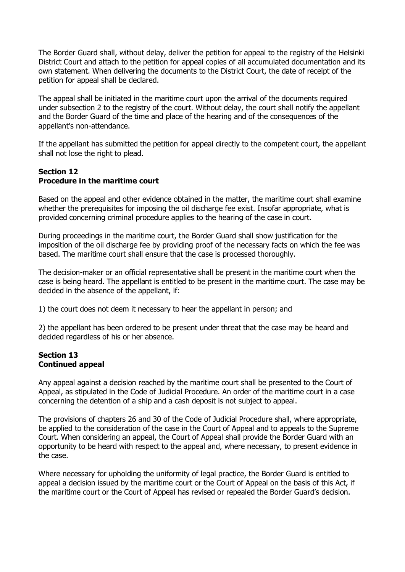The Border Guard shall, without delay, deliver the petition for appeal to the registry of the Helsinki District Court and attach to the petition for appeal copies of all accumulated documentation and its own statement. When delivering the documents to the District Court, the date of receipt of the petition for appeal shall be declared.

The appeal shall be initiated in the maritime court upon the arrival of the documents required under subsection 2 to the registry of the court. Without delay, the court shall notify the appellant and the Border Guard of the time and place of the hearing and of the consequences of the appellant's non-attendance.

If the appellant has submitted the petition for appeal directly to the competent court, the appellant shall not lose the right to plead.

### **Section 12 Procedure in the maritime court**

Based on the appeal and other evidence obtained in the matter, the maritime court shall examine whether the prerequisites for imposing the oil discharge fee exist. Insofar appropriate, what is provided concerning criminal procedure applies to the hearing of the case in court.

During proceedings in the maritime court, the Border Guard shall show justification for the imposition of the oil discharge fee by providing proof of the necessary facts on which the fee was based. The maritime court shall ensure that the case is processed thoroughly.

The decision-maker or an official representative shall be present in the maritime court when the case is being heard. The appellant is entitled to be present in the maritime court. The case may be decided in the absence of the appellant, if:

1) the court does not deem it necessary to hear the appellant in person; and

2) the appellant has been ordered to be present under threat that the case may be heard and decided regardless of his or her absence.

### **Section 13 Continued appeal**

Any appeal against a decision reached by the maritime court shall be presented to the Court of Appeal, as stipulated in the Code of Judicial Procedure. An order of the maritime court in a case concerning the detention of a ship and a cash deposit is not subject to appeal.

The provisions of chapters 26 and 30 of the Code of Judicial Procedure shall, where appropriate, be applied to the consideration of the case in the Court of Appeal and to appeals to the Supreme Court. When considering an appeal, the Court of Appeal shall provide the Border Guard with an opportunity to be heard with respect to the appeal and, where necessary, to present evidence in the case.

Where necessary for upholding the uniformity of legal practice, the Border Guard is entitled to appeal a decision issued by the maritime court or the Court of Appeal on the basis of this Act, if the maritime court or the Court of Appeal has revised or repealed the Border Guard's decision.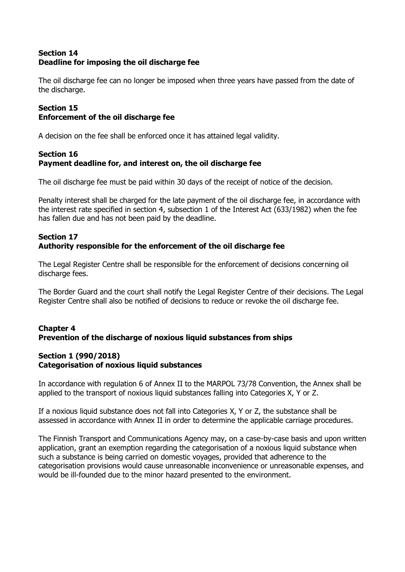## **Section 14 Deadline for imposing the oil discharge fee**

The oil discharge fee can no longer be imposed when three years have passed from the date of the discharge.

# **Section 15 Enforcement of the oil discharge fee**

A decision on the fee shall be enforced once it has attained legal validity.

# **Section 16 Payment deadline for, and interest on, the oil discharge fee**

The oil discharge fee must be paid within 30 days of the receipt of notice of the decision.

Penalty interest shall be charged for the late payment of the oil discharge fee, in accordance with the interest rate specified in section 4, subsection 1 of the Interest Act (633/1982) when the fee has fallen due and has not been paid by the deadline.

# **Section 17 Authority responsible for the enforcement of the oil discharge fee**

The Legal Register Centre shall be responsible for the enforcement of decisions concerning oil discharge fees.

The Border Guard and the court shall notify the Legal Register Centre of their decisions. The Legal Register Centre shall also be notified of decisions to reduce or revoke the oil discharge fee.

### **Chapter 4 Prevention of the discharge of noxious liquid substances from ships**

# **Section 1 (990/2018) Categorisation of noxious liquid substances**

In accordance with regulation 6 of Annex II to the MARPOL 73/78 Convention, the Annex shall be applied to the transport of noxious liquid substances falling into Categories X, Y or Z.

If a noxious liquid substance does not fall into Categories X, Y or Z, the substance shall be assessed in accordance with Annex II in order to determine the applicable carriage procedures.

The Finnish Transport and Communications Agency may, on a case-by-case basis and upon written application, grant an exemption regarding the categorisation of a noxious liquid substance when such a substance is being carried on domestic voyages, provided that adherence to the categorisation provisions would cause unreasonable inconvenience or unreasonable expenses, and would be ill-founded due to the minor hazard presented to the environment.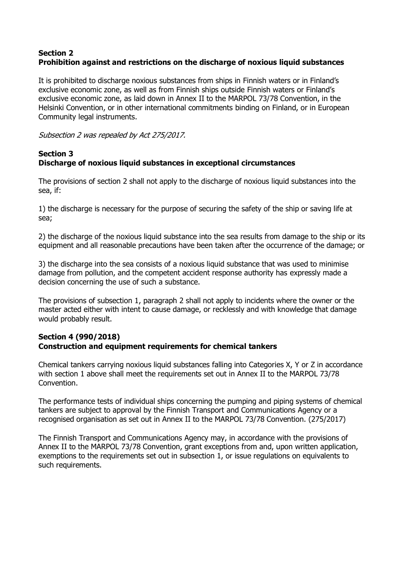### **Section 2 Prohibition against and restrictions on the discharge of noxious liquid substances**

It is prohibited to discharge noxious substances from ships in Finnish waters or in Finland's exclusive economic zone, as well as from Finnish ships outside Finnish waters or Finland's exclusive economic zone, as laid down in Annex II to the MARPOL 73/78 Convention, in the Helsinki Convention, or in other international commitments binding on Finland, or in European Community legal instruments.

Subsection 2 was repealed by Act 275/2017.

# **Section 3 Discharge of noxious liquid substances in exceptional circumstances**

The provisions of section 2 shall not apply to the discharge of noxious liquid substances into the sea, if:

1) the discharge is necessary for the purpose of securing the safety of the ship or saving life at sea;

2) the discharge of the noxious liquid substance into the sea results from damage to the ship or its equipment and all reasonable precautions have been taken after the occurrence of the damage; or

3) the discharge into the sea consists of a noxious liquid substance that was used to minimise damage from pollution, and the competent accident response authority has expressly made a decision concerning the use of such a substance.

The provisions of subsection 1, paragraph 2 shall not apply to incidents where the owner or the master acted either with intent to cause damage, or recklessly and with knowledge that damage would probably result.

### **Section 4 (990/2018) Construction and equipment requirements for chemical tankers**

Chemical tankers carrying noxious liquid substances falling into Categories X, Y or Z in accordance with section 1 above shall meet the requirements set out in Annex II to the MARPOL 73/78 Convention.

The performance tests of individual ships concerning the pumping and piping systems of chemical tankers are subject to approval by the Finnish Transport and Communications Agency or a recognised organisation as set out in Annex II to the MARPOL 73/78 Convention. (275/2017)

The Finnish Transport and Communications Agency may, in accordance with the provisions of Annex II to the MARPOL 73/78 Convention, grant exceptions from and, upon written application, exemptions to the requirements set out in subsection 1, or issue regulations on equivalents to such requirements.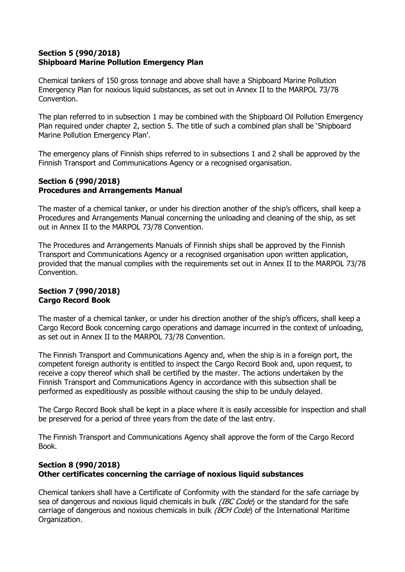### **Section 5 (990/2018) Shipboard Marine Pollution Emergency Plan**

Chemical tankers of 150 gross tonnage and above shall have a Shipboard Marine Pollution Emergency Plan for noxious liquid substances, as set out in Annex II to the MARPOL 73/78 Convention.

The plan referred to in subsection 1 may be combined with the Shipboard Oil Pollution Emergency Plan required under chapter 2, section 5. The title of such a combined plan shall be 'Shipboard Marine Pollution Emergency Plan'.

The emergency plans of Finnish ships referred to in subsections 1 and 2 shall be approved by the Finnish Transport and Communications Agency or a recognised organisation.

### **Section 6 (990/2018) Procedures and Arrangements Manual**

The master of a chemical tanker, or under his direction another of the ship's officers, shall keep a Procedures and Arrangements Manual concerning the unloading and cleaning of the ship, as set out in Annex II to the MARPOL 73/78 Convention.

The Procedures and Arrangements Manuals of Finnish ships shall be approved by the Finnish Transport and Communications Agency or a recognised organisation upon written application, provided that the manual complies with the requirements set out in Annex II to the MARPOL 73/78 Convention.

### **Section 7 (990/2018) Cargo Record Book**

The master of a chemical tanker, or under his direction another of the ship's officers, shall keep a Cargo Record Book concerning cargo operations and damage incurred in the context of unloading, as set out in Annex II to the MARPOL 73/78 Convention.

The Finnish Transport and Communications Agency and, when the ship is in a foreign port, the competent foreign authority is entitled to inspect the Cargo Record Book and, upon request, to receive a copy thereof which shall be certified by the master. The actions undertaken by the Finnish Transport and Communications Agency in accordance with this subsection shall be performed as expeditiously as possible without causing the ship to be unduly delayed.

The Cargo Record Book shall be kept in a place where it is easily accessible for inspection and shall be preserved for a period of three years from the date of the last entry.

The Finnish Transport and Communications Agency shall approve the form of the Cargo Record Book.

# **Section 8 (990/2018) Other certificates concerning the carriage of noxious liquid substances**

Chemical tankers shall have a Certificate of Conformity with the standard for the safe carriage by sea of dangerous and noxious liquid chemicals in bulk *(IBC Code*) or the standard for the safe carriage of dangerous and noxious chemicals in bulk *(BCH Code*) of the International Maritime Organization.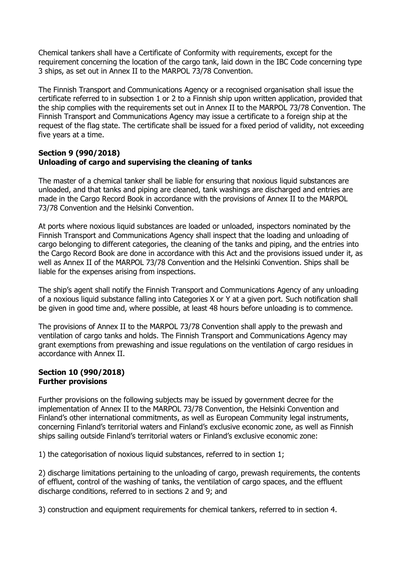Chemical tankers shall have a Certificate of Conformity with requirements, except for the requirement concerning the location of the cargo tank, laid down in the IBC Code concerning type 3 ships, as set out in Annex II to the MARPOL 73/78 Convention.

The Finnish Transport and Communications Agency or a recognised organisation shall issue the certificate referred to in subsection 1 or 2 to a Finnish ship upon written application, provided that the ship complies with the requirements set out in Annex II to the MARPOL 73/78 Convention. The Finnish Transport and Communications Agency may issue a certificate to a foreign ship at the request of the flag state. The certificate shall be issued for a fixed period of validity, not exceeding five years at a time.

### **Section 9 (990/2018) Unloading of cargo and supervising the cleaning of tanks**

The master of a chemical tanker shall be liable for ensuring that noxious liquid substances are unloaded, and that tanks and piping are cleaned, tank washings are discharged and entries are made in the Cargo Record Book in accordance with the provisions of Annex II to the MARPOL 73/78 Convention and the Helsinki Convention.

At ports where noxious liquid substances are loaded or unloaded, inspectors nominated by the Finnish Transport and Communications Agency shall inspect that the loading and unloading of cargo belonging to different categories, the cleaning of the tanks and piping, and the entries into the Cargo Record Book are done in accordance with this Act and the provisions issued under it, as well as Annex II of the MARPOL 73/78 Convention and the Helsinki Convention. Ships shall be liable for the expenses arising from inspections.

The ship's agent shall notify the Finnish Transport and Communications Agency of any unloading of a noxious liquid substance falling into Categories X or Y at a given port. Such notification shall be given in good time and, where possible, at least 48 hours before unloading is to commence.

The provisions of Annex II to the MARPOL 73/78 Convention shall apply to the prewash and ventilation of cargo tanks and holds. The Finnish Transport and Communications Agency may grant exemptions from prewashing and issue regulations on the ventilation of cargo residues in accordance with Annex II.

### **Section 10 (990/2018) Further provisions**

Further provisions on the following subjects may be issued by government decree for the implementation of Annex II to the MARPOL 73/78 Convention, the Helsinki Convention and Finland's other international commitments, as well as European Community legal instruments, concerning Finland's territorial waters and Finland's exclusive economic zone, as well as Finnish ships sailing outside Finland's territorial waters or Finland's exclusive economic zone:

1) the categorisation of noxious liquid substances, referred to in section 1;

2) discharge limitations pertaining to the unloading of cargo, prewash requirements, the contents of effluent, control of the washing of tanks, the ventilation of cargo spaces, and the effluent discharge conditions, referred to in sections 2 and 9; and

3) construction and equipment requirements for chemical tankers, referred to in section 4.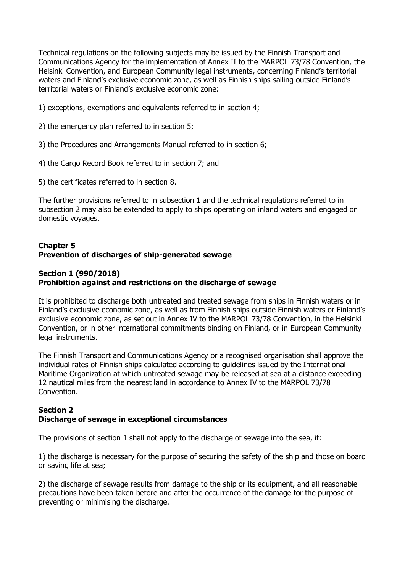Technical regulations on the following subjects may be issued by the Finnish Transport and Communications Agency for the implementation of Annex II to the MARPOL 73/78 Convention, the Helsinki Convention, and European Community legal instruments, concerning Finland's territorial waters and Finland's exclusive economic zone, as well as Finnish ships sailing outside Finland's territorial waters or Finland's exclusive economic zone:

- 1) exceptions, exemptions and equivalents referred to in section 4;
- 2) the emergency plan referred to in section 5;
- 3) the Procedures and Arrangements Manual referred to in section 6;
- 4) the Cargo Record Book referred to in section 7; and
- 5) the certificates referred to in section 8.

The further provisions referred to in subsection 1 and the technical regulations referred to in subsection 2 may also be extended to apply to ships operating on inland waters and engaged on domestic voyages.

### **Chapter 5 Prevention of discharges of ship-generated sewage**

### **Section 1 (990/2018) Prohibition against and restrictions on the discharge of sewage**

It is prohibited to discharge both untreated and treated sewage from ships in Finnish waters or in Finland's exclusive economic zone, as well as from Finnish ships outside Finnish waters or Finland's exclusive economic zone, as set out in Annex IV to the MARPOL 73/78 Convention, in the Helsinki Convention, or in other international commitments binding on Finland, or in European Community legal instruments.

The Finnish Transport and Communications Agency or a recognised organisation shall approve the individual rates of Finnish ships calculated according to guidelines issued by the International Maritime Organization at which untreated sewage may be released at sea at a distance exceeding 12 nautical miles from the nearest land in accordance to Annex IV to the MARPOL 73/78 Convention.

### **Section 2 Discharge of sewage in exceptional circumstances**

The provisions of section 1 shall not apply to the discharge of sewage into the sea, if:

1) the discharge is necessary for the purpose of securing the safety of the ship and those on board or saving life at sea;

2) the discharge of sewage results from damage to the ship or its equipment, and all reasonable precautions have been taken before and after the occurrence of the damage for the purpose of preventing or minimising the discharge.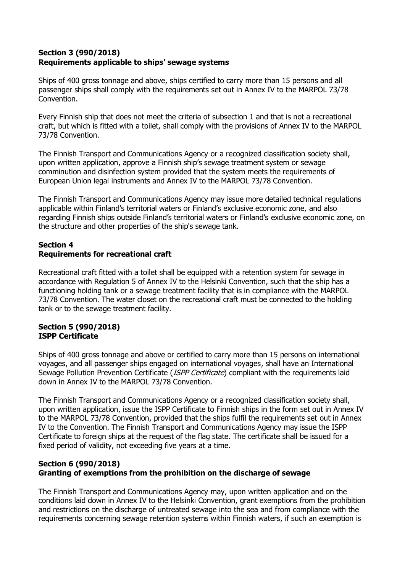## **Section 3 (990/2018) Requirements applicable to ships' sewage systems**

Ships of 400 gross tonnage and above, ships certified to carry more than 15 persons and all passenger ships shall comply with the requirements set out in Annex IV to the MARPOL 73/78 Convention.

Every Finnish ship that does not meet the criteria of subsection 1 and that is not a recreational craft, but which is fitted with a toilet, shall comply with the provisions of Annex IV to the MARPOL 73/78 Convention.

The Finnish Transport and Communications Agency or a recognized classification society shall, upon written application, approve a Finnish ship's sewage treatment system or sewage comminution and disinfection system provided that the system meets the requirements of European Union legal instruments and Annex IV to the MARPOL 73/78 Convention.

The Finnish Transport and Communications Agency may issue more detailed technical regulations applicable within Finland's territorial waters or Finland's exclusive economic zone, and also regarding Finnish ships outside Finland's territorial waters or Finland's exclusive economic zone, on the structure and other properties of the ship's sewage tank.

# **Section 4 Requirements for recreational craft**

Recreational craft fitted with a toilet shall be equipped with a retention system for sewage in accordance with Regulation 5 of Annex IV to the Helsinki Convention, such that the ship has a functioning holding tank or a sewage treatment facility that is in compliance with the MARPOL 73/78 Convention. The water closet on the recreational craft must be connected to the holding tank or to the sewage treatment facility.

# **Section 5 (990/2018) ISPP Certificate**

Ships of 400 gross tonnage and above or certified to carry more than 15 persons on international voyages, and all passenger ships engaged on international voyages, shall have an International Sewage Pollution Prevention Certificate (*ISPP Certificate*) compliant with the requirements laid down in Annex IV to the MARPOL 73/78 Convention.

The Finnish Transport and Communications Agency or a recognized classification society shall, upon written application, issue the ISPP Certificate to Finnish ships in the form set out in Annex IV to the MARPOL 73/78 Convention, provided that the ships fulfil the requirements set out in Annex IV to the Convention. The Finnish Transport and Communications Agency may issue the ISPP Certificate to foreign ships at the request of the flag state. The certificate shall be issued for a fixed period of validity, not exceeding five years at a time.

# **Section 6 (990/2018) Granting of exemptions from the prohibition on the discharge of sewage**

The Finnish Transport and Communications Agency may, upon written application and on the conditions laid down in Annex IV to the Helsinki Convention, grant exemptions from the prohibition and restrictions on the discharge of untreated sewage into the sea and from compliance with the requirements concerning sewage retention systems within Finnish waters, if such an exemption is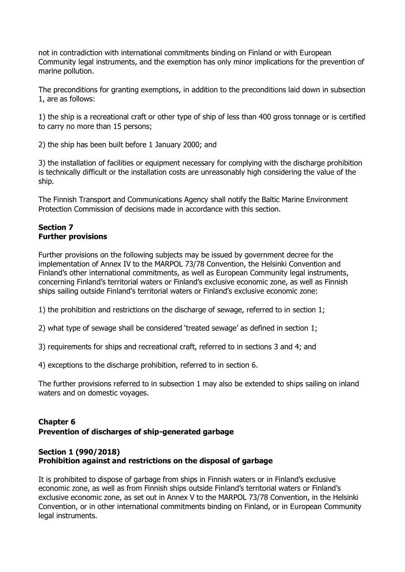not in contradiction with international commitments binding on Finland or with European Community legal instruments, and the exemption has only minor implications for the prevention of marine pollution.

The preconditions for granting exemptions, in addition to the preconditions laid down in subsection 1, are as follows:

1) the ship is a recreational craft or other type of ship of less than 400 gross tonnage or is certified to carry no more than 15 persons;

2) the ship has been built before 1 January 2000; and

3) the installation of facilities or equipment necessary for complying with the discharge prohibition is technically difficult or the installation costs are unreasonably high considering the value of the ship.

The Finnish Transport and Communications Agency shall notify the Baltic Marine Environment Protection Commission of decisions made in accordance with this section.

### **Section 7 Further provisions**

Further provisions on the following subjects may be issued by government decree for the implementation of Annex IV to the MARPOL 73/78 Convention, the Helsinki Convention and Finland's other international commitments, as well as European Community legal instruments, concerning Finland's territorial waters or Finland's exclusive economic zone, as well as Finnish ships sailing outside Finland's territorial waters or Finland's exclusive economic zone:

1) the prohibition and restrictions on the discharge of sewage, referred to in section 1;

2) what type of sewage shall be considered 'treated sewage' as defined in section 1;

3) requirements for ships and recreational craft, referred to in sections 3 and 4; and

4) exceptions to the discharge prohibition, referred to in section 6.

The further provisions referred to in subsection 1 may also be extended to ships sailing on inland waters and on domestic voyages.

# **Chapter 6 Prevention of discharges of ship-generated garbage**

### **Section 1 (990/2018) Prohibition against and restrictions on the disposal of garbage**

It is prohibited to dispose of garbage from ships in Finnish waters or in Finland's exclusive economic zone, as well as from Finnish ships outside Finland's territorial waters or Finland's exclusive economic zone, as set out in Annex V to the MARPOL 73/78 Convention, in the Helsinki Convention, or in other international commitments binding on Finland, or in European Community legal instruments.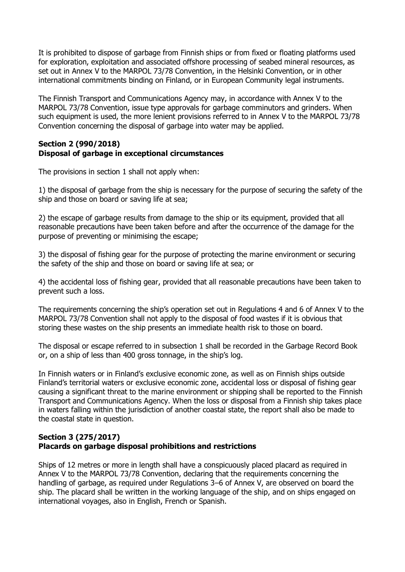It is prohibited to dispose of garbage from Finnish ships or from fixed or floating platforms used for exploration, exploitation and associated offshore processing of seabed mineral resources, as set out in Annex V to the MARPOL 73/78 Convention, in the Helsinki Convention, or in other international commitments binding on Finland, or in European Community legal instruments.

The Finnish Transport and Communications Agency may, in accordance with Annex V to the MARPOL 73/78 Convention, issue type approvals for garbage comminutors and grinders. When such equipment is used, the more lenient provisions referred to in Annex V to the MARPOL 73/78 Convention concerning the disposal of garbage into water may be applied.

### **Section 2 (990/2018) Disposal of garbage in exceptional circumstances**

The provisions in section 1 shall not apply when:

1) the disposal of garbage from the ship is necessary for the purpose of securing the safety of the ship and those on board or saving life at sea;

2) the escape of garbage results from damage to the ship or its equipment, provided that all reasonable precautions have been taken before and after the occurrence of the damage for the purpose of preventing or minimising the escape;

3) the disposal of fishing gear for the purpose of protecting the marine environment or securing the safety of the ship and those on board or saving life at sea; or

4) the accidental loss of fishing gear, provided that all reasonable precautions have been taken to prevent such a loss.

The requirements concerning the ship's operation set out in Regulations 4 and 6 of Annex V to the MARPOL 73/78 Convention shall not apply to the disposal of food wastes if it is obvious that storing these wastes on the ship presents an immediate health risk to those on board.

The disposal or escape referred to in subsection 1 shall be recorded in the Garbage Record Book or, on a ship of less than 400 gross tonnage, in the ship's log.

In Finnish waters or in Finland's exclusive economic zone, as well as on Finnish ships outside Finland's territorial waters or exclusive economic zone, accidental loss or disposal of fishing gear causing a significant threat to the marine environment or shipping shall be reported to the Finnish Transport and Communications Agency. When the loss or disposal from a Finnish ship takes place in waters falling within the jurisdiction of another coastal state, the report shall also be made to the coastal state in question.

### **Section 3 (275/2017) Placards on garbage disposal prohibitions and restrictions**

Ships of 12 metres or more in length shall have a conspicuously placed placard as required in Annex V to the MARPOL 73/78 Convention, declaring that the requirements concerning the handling of garbage, as required under Regulations 3–6 of Annex V, are observed on board the ship. The placard shall be written in the working language of the ship, and on ships engaged on international voyages, also in English, French or Spanish.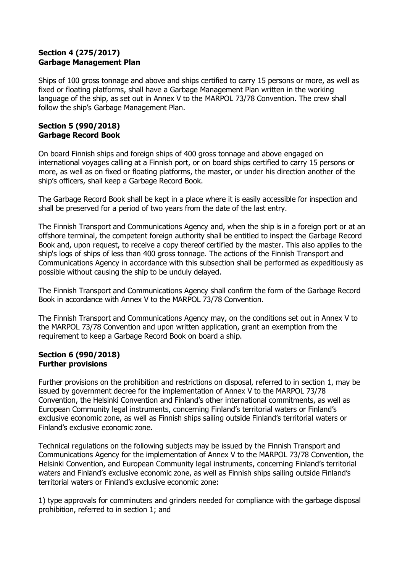# **Section 4 (275/2017) Garbage Management Plan**

Ships of 100 gross tonnage and above and ships certified to carry 15 persons or more, as well as fixed or floating platforms, shall have a Garbage Management Plan written in the working language of the ship, as set out in Annex V to the MARPOL 73/78 Convention. The crew shall follow the ship's Garbage Management Plan.

### **Section 5 (990/2018) Garbage Record Book**

On board Finnish ships and foreign ships of 400 gross tonnage and above engaged on international voyages calling at a Finnish port, or on board ships certified to carry 15 persons or more, as well as on fixed or floating platforms, the master, or under his direction another of the ship's officers, shall keep a Garbage Record Book.

The Garbage Record Book shall be kept in a place where it is easily accessible for inspection and shall be preserved for a period of two years from the date of the last entry.

The Finnish Transport and Communications Agency and, when the ship is in a foreign port or at an offshore terminal, the competent foreign authority shall be entitled to inspect the Garbage Record Book and, upon request, to receive a copy thereof certified by the master. This also applies to the ship's logs of ships of less than 400 gross tonnage. The actions of the Finnish Transport and Communications Agency in accordance with this subsection shall be performed as expeditiously as possible without causing the ship to be unduly delayed.

The Finnish Transport and Communications Agency shall confirm the form of the Garbage Record Book in accordance with Annex V to the MARPOL 73/78 Convention.

The Finnish Transport and Communications Agency may, on the conditions set out in Annex V to the MARPOL 73/78 Convention and upon written application, grant an exemption from the requirement to keep a Garbage Record Book on board a ship.

### **Section 6 (990/2018) Further provisions**

Further provisions on the prohibition and restrictions on disposal, referred to in section 1, may be issued by government decree for the implementation of Annex V to the MARPOL 73/78 Convention, the Helsinki Convention and Finland's other international commitments, as well as European Community legal instruments, concerning Finland's territorial waters or Finland's exclusive economic zone, as well as Finnish ships sailing outside Finland's territorial waters or Finland's exclusive economic zone.

Technical regulations on the following subjects may be issued by the Finnish Transport and Communications Agency for the implementation of Annex V to the MARPOL 73/78 Convention, the Helsinki Convention, and European Community legal instruments, concerning Finland's territorial waters and Finland's exclusive economic zone, as well as Finnish ships sailing outside Finland's territorial waters or Finland's exclusive economic zone:

1) type approvals for comminuters and grinders needed for compliance with the garbage disposal prohibition, referred to in section 1; and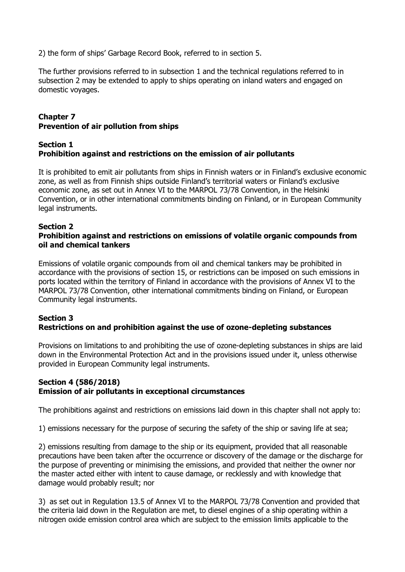2) the form of ships' Garbage Record Book, referred to in section 5.

The further provisions referred to in subsection 1 and the technical regulations referred to in subsection 2 may be extended to apply to ships operating on inland waters and engaged on domestic voyages.

# **Chapter 7 Prevention of air pollution from ships**

### **Section 1 Prohibition against and restrictions on the emission of air pollutants**

It is prohibited to emit air pollutants from ships in Finnish waters or in Finland's exclusive economic zone, as well as from Finnish ships outside Finland's territorial waters or Finland's exclusive economic zone, as set out in Annex VI to the MARPOL 73/78 Convention, in the Helsinki Convention, or in other international commitments binding on Finland, or in European Community legal instruments.

### **Section 2**

### **Prohibition against and restrictions on emissions of volatile organic compounds from oil and chemical tankers**

Emissions of volatile organic compounds from oil and chemical tankers may be prohibited in accordance with the provisions of section 15, or restrictions can be imposed on such emissions in ports located within the territory of Finland in accordance with the provisions of Annex VI to the MARPOL 73/78 Convention, other international commitments binding on Finland, or European Community legal instruments.

# **Section 3 Restrictions on and prohibition against the use of ozone-depleting substances**

Provisions on limitations to and prohibiting the use of ozone-depleting substances in ships are laid down in the Environmental Protection Act and in the provisions issued under it, unless otherwise provided in European Community legal instruments.

### **Section 4 (586/2018) Emission of air pollutants in exceptional circumstances**

The prohibitions against and restrictions on emissions laid down in this chapter shall not apply to:

1) emissions necessary for the purpose of securing the safety of the ship or saving life at sea;

2) emissions resulting from damage to the ship or its equipment, provided that all reasonable precautions have been taken after the occurrence or discovery of the damage or the discharge for the purpose of preventing or minimising the emissions, and provided that neither the owner nor the master acted either with intent to cause damage, or recklessly and with knowledge that damage would probably result; nor

3) as set out in Regulation 13.5 of Annex VI to the MARPOL 73/78 Convention and provided that the criteria laid down in the Regulation are met, to diesel engines of a ship operating within a nitrogen oxide emission control area which are subject to the emission limits applicable to the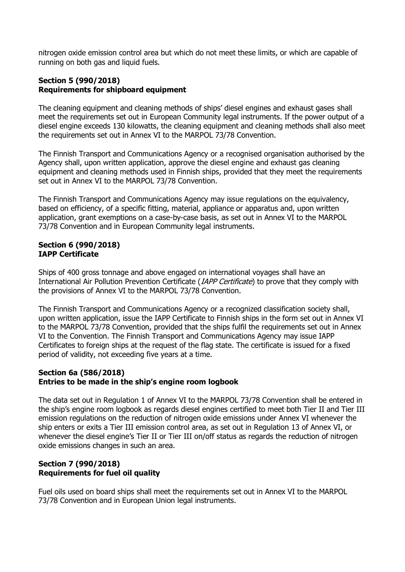nitrogen oxide emission control area but which do not meet these limits, or which are capable of running on both gas and liquid fuels.

# **Section 5 (990/2018) Requirements for shipboard equipment**

The cleaning equipment and cleaning methods of ships' diesel engines and exhaust gases shall meet the requirements set out in European Community legal instruments. If the power output of a diesel engine exceeds 130 kilowatts, the cleaning equipment and cleaning methods shall also meet the requirements set out in Annex VI to the MARPOL 73/78 Convention.

The Finnish Transport and Communications Agency or a recognised organisation authorised by the Agency shall, upon written application, approve the diesel engine and exhaust gas cleaning equipment and cleaning methods used in Finnish ships, provided that they meet the requirements set out in Annex VI to the MARPOL 73/78 Convention.

The Finnish Transport and Communications Agency may issue regulations on the equivalency, based on efficiency, of a specific fitting, material, appliance or apparatus and, upon written application, grant exemptions on a case-by-case basis, as set out in Annex VI to the MARPOL 73/78 Convention and in European Community legal instruments.

### **Section 6 (990/2018) IAPP Certificate**

Ships of 400 gross tonnage and above engaged on international voyages shall have an International Air Pollution Prevention Certificate (*IAPP Certificate*) to prove that they comply with the provisions of Annex VI to the MARPOL 73/78 Convention.

The Finnish Transport and Communications Agency or a recognized classification society shall, upon written application, issue the IAPP Certificate to Finnish ships in the form set out in Annex VI to the MARPOL 73/78 Convention, provided that the ships fulfil the requirements set out in Annex VI to the Convention. The Finnish Transport and Communications Agency may issue IAPP Certificates to foreign ships at the request of the flag state. The certificate is issued for a fixed period of validity, not exceeding five years at a time.

### **Section 6a (586/2018) Entries to be made in the ship's engine room logbook**

The data set out in Regulation 1 of Annex VI to the MARPOL 73/78 Convention shall be entered in the ship's engine room logbook as regards diesel engines certified to meet both Tier II and Tier III emission regulations on the reduction of nitrogen oxide emissions under Annex VI whenever the ship enters or exits a Tier III emission control area, as set out in Regulation 13 of Annex VI, or whenever the diesel engine's Tier II or Tier III on/off status as regards the reduction of nitrogen oxide emissions changes in such an area.

# **Section 7 (990/2018) Requirements for fuel oil quality**

Fuel oils used on board ships shall meet the requirements set out in Annex VI to the MARPOL 73/78 Convention and in European Union legal instruments.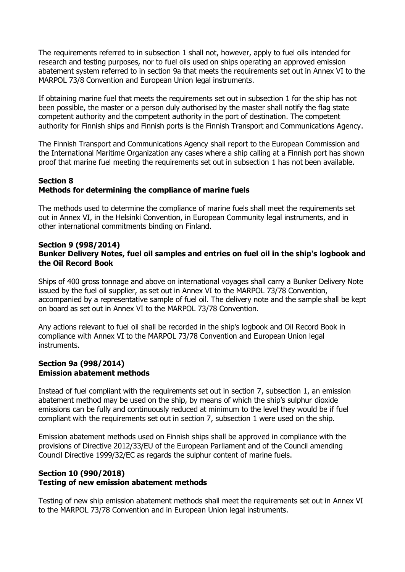The requirements referred to in subsection 1 shall not, however, apply to fuel oils intended for research and testing purposes, nor to fuel oils used on ships operating an approved emission abatement system referred to in section 9a that meets the requirements set out in Annex VI to the MARPOL 73/8 Convention and European Union legal instruments.

If obtaining marine fuel that meets the requirements set out in subsection 1 for the ship has not been possible, the master or a person duly authorised by the master shall notify the flag state competent authority and the competent authority in the port of destination. The competent authority for Finnish ships and Finnish ports is the Finnish Transport and Communications Agency.

The Finnish Transport and Communications Agency shall report to the European Commission and the International Maritime Organization any cases where a ship calling at a Finnish port has shown proof that marine fuel meeting the requirements set out in subsection 1 has not been available.

### **Section 8 Methods for determining the compliance of marine fuels**

The methods used to determine the compliance of marine fuels shall meet the requirements set out in Annex VI, in the Helsinki Convention, in European Community legal instruments, and in other international commitments binding on Finland.

#### **Section 9 (998/2014) Bunker Delivery Notes, fuel oil samples and entries on fuel oil in the ship's logbook and the Oil Record Book**

Ships of 400 gross tonnage and above on international voyages shall carry a Bunker Delivery Note issued by the fuel oil supplier, as set out in Annex VI to the MARPOL 73/78 Convention, accompanied by a representative sample of fuel oil. The delivery note and the sample shall be kept on board as set out in Annex VI to the MARPOL 73/78 Convention.

Any actions relevant to fuel oil shall be recorded in the ship's logbook and Oil Record Book in compliance with Annex VI to the MARPOL 73/78 Convention and European Union legal instruments.

#### **Section 9a (998/2014) Emission abatement methods**

Instead of fuel compliant with the requirements set out in section 7, subsection 1, an emission abatement method may be used on the ship, by means of which the ship's sulphur dioxide emissions can be fully and continuously reduced at minimum to the level they would be if fuel compliant with the requirements set out in section 7, subsection 1 were used on the ship.

Emission abatement methods used on Finnish ships shall be approved in compliance with the provisions of Directive 2012/33/EU of the European Parliament and of the Council amending Council Directive 1999/32/EC as regards the sulphur content of marine fuels.

### **Section 10 (990/2018) Testing of new emission abatement methods**

Testing of new ship emission abatement methods shall meet the requirements set out in Annex VI to the MARPOL 73/78 Convention and in European Union legal instruments.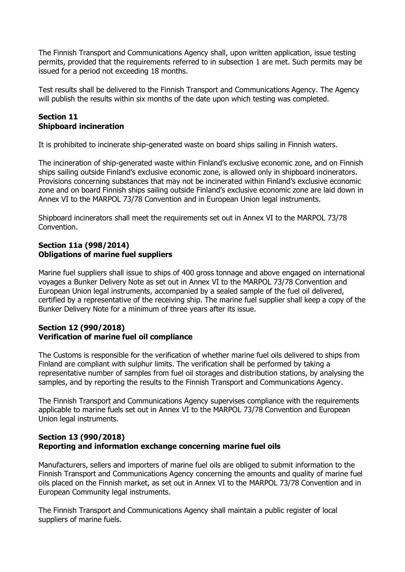The Finnish Transport and Communications Agency shall, upon written application, issue testing permits, provided that the requirements referred to in subsection 1 are met. Such permits may be issued for a period not exceeding 18 months.

Test results shall be delivered to the Finnish Transport and Communications Agency. The Agency will publish the results within six months of the date upon which testing was completed.

### **Section 11 Shipboard incineration**

It is prohibited to incinerate ship-generated waste on board ships sailing in Finnish waters.

The incineration of ship-generated waste within Finland's exclusive economic zone, and on Finnish ships sailing outside Finland's exclusive economic zone, is allowed only in shipboard incinerators. Provisions concerning substances that may not be incinerated within Finland's exclusive economic zone and on board Finnish ships sailing outside Finland's exclusive economic zone are laid down in Annex VI to the MARPOL 73/78 Convention and in European Union legal instruments.

Shipboard incinerators shall meet the requirements set out in Annex VI to the MARPOL 73/78 Convention.

### **Section 11a (998/2014) Obligations of marine fuel suppliers**

Marine fuel suppliers shall issue to ships of 400 gross tonnage and above engaged on international voyages a Bunker Delivery Note as set out in Annex VI to the MARPOL 73/78 Convention and European Union legal instruments, accompanied by a sealed sample of the fuel oil delivered, certified by a representative of the receiving ship. The marine fuel supplier shall keep a copy of the Bunker Delivery Note for a minimum of three years after its issue.

### **Section 12 (990/2018) Verification of marine fuel oil compliance**

The Customs is responsible for the verification of whether marine fuel oils delivered to ships from Finland are compliant with sulphur limits. The verification shall be performed by taking a representative number of samples from fuel oil storages and distribution stations, by analysing the samples, and by reporting the results to the Finnish Transport and Communications Agency.

The Finnish Transport and Communications Agency supervises compliance with the requirements applicable to marine fuels set out in Annex VI to the MARPOL 73/78 Convention and European Union legal instruments.

# **Section 13 (990/2018) Reporting and information exchange concerning marine fuel oils**

Manufacturers, sellers and importers of marine fuel oils are obliged to submit information to the Finnish Transport and Communications Agency concerning the amounts and quality of marine fuel oils placed on the Finnish market, as set out in Annex VI to the MARPOL 73/78 Convention and in European Community legal instruments.

The Finnish Transport and Communications Agency shall maintain a public register of local suppliers of marine fuels.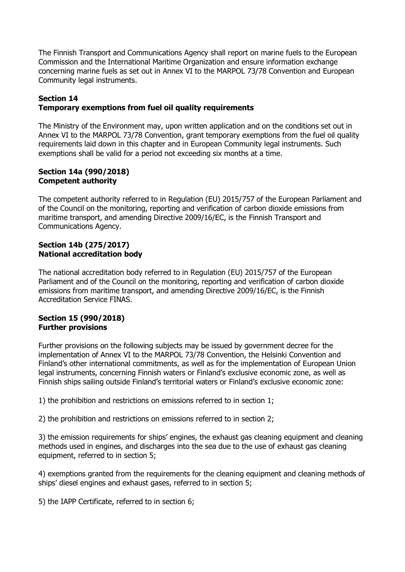The Finnish Transport and Communications Agency shall report on marine fuels to the European Commission and the International Maritime Organization and ensure information exchange concerning marine fuels as set out in Annex VI to the MARPOL 73/78 Convention and European Community legal instruments.

### **Section 14**

### **Temporary exemptions from fuel oil quality requirements**

The Ministry of the Environment may, upon written application and on the conditions set out in Annex VI to the MARPOL 73/78 Convention, grant temporary exemptions from the fuel oil quality requirements laid down in this chapter and in European Community legal instruments. Such exemptions shall be valid for a period not exceeding six months at a time.

#### **Section 14a (990/2018) Competent authority**

The competent authority referred to in Regulation (EU) 2015/757 of the European Parliament and of the Council on the monitoring, reporting and verification of carbon dioxide emissions from maritime transport, and amending Directive 2009/16/EC, is the Finnish Transport and Communications Agency.

#### **Section 14b (275/2017) National accreditation body**

The national accreditation body referred to in Regulation (EU) 2015/757 of the European Parliament and of the Council on the monitoring, reporting and verification of carbon dioxide emissions from maritime transport, and amending Directive 2009/16/EC, is the Finnish Accreditation Service FINAS.

### **Section 15 (990/2018) Further provisions**

Further provisions on the following subjects may be issued by government decree for the implementation of Annex VI to the MARPOL 73/78 Convention, the Helsinki Convention and Finland's other international commitments, as well as for the implementation of European Union legal instruments, concerning Finnish waters or Finland's exclusive economic zone, as well as Finnish ships sailing outside Finland's territorial waters or Finland's exclusive economic zone:

1) the prohibition and restrictions on emissions referred to in section 1;

2) the prohibition and restrictions on emissions referred to in section 2;

3) the emission requirements for ships' engines, the exhaust gas cleaning equipment and cleaning methods used in engines, and discharges into the sea due to the use of exhaust gas cleaning equipment, referred to in section 5;

4) exemptions granted from the requirements for the cleaning equipment and cleaning methods of ships' diesel engines and exhaust gases, referred to in section 5;

5) the IAPP Certificate, referred to in section 6;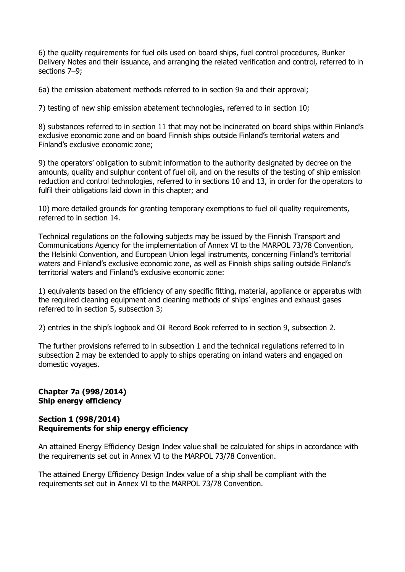6) the quality requirements for fuel oils used on board ships, fuel control procedures, Bunker Delivery Notes and their issuance, and arranging the related verification and control, referred to in sections 7–9;

6a) the emission abatement methods referred to in section 9a and their approval;

7) testing of new ship emission abatement technologies, referred to in section 10;

8) substances referred to in section 11 that may not be incinerated on board ships within Finland's exclusive economic zone and on board Finnish ships outside Finland's territorial waters and Finland's exclusive economic zone;

9) the operators' obligation to submit information to the authority designated by decree on the amounts, quality and sulphur content of fuel oil, and on the results of the testing of ship emission reduction and control technologies, referred to in sections 10 and 13, in order for the operators to fulfil their obligations laid down in this chapter; and

10) more detailed grounds for granting temporary exemptions to fuel oil quality requirements, referred to in section 14.

Technical regulations on the following subjects may be issued by the Finnish Transport and Communications Agency for the implementation of Annex VI to the MARPOL 73/78 Convention, the Helsinki Convention, and European Union legal instruments, concerning Finland's territorial waters and Finland's exclusive economic zone, as well as Finnish ships sailing outside Finland's territorial waters and Finland's exclusive economic zone:

1) equivalents based on the efficiency of any specific fitting, material, appliance or apparatus with the required cleaning equipment and cleaning methods of ships' engines and exhaust gases referred to in section 5, subsection 3;

2) entries in the ship's logbook and Oil Record Book referred to in section 9, subsection 2.

The further provisions referred to in subsection 1 and the technical regulations referred to in subsection 2 may be extended to apply to ships operating on inland waters and engaged on domestic voyages.

### **Chapter 7a (998/2014) Ship energy efficiency**

### **Section 1 (998/2014) Requirements for ship energy efficiency**

An attained Energy Efficiency Design Index value shall be calculated for ships in accordance with the requirements set out in Annex VI to the MARPOL 73/78 Convention.

The attained Energy Efficiency Design Index value of a ship shall be compliant with the requirements set out in Annex VI to the MARPOL 73/78 Convention.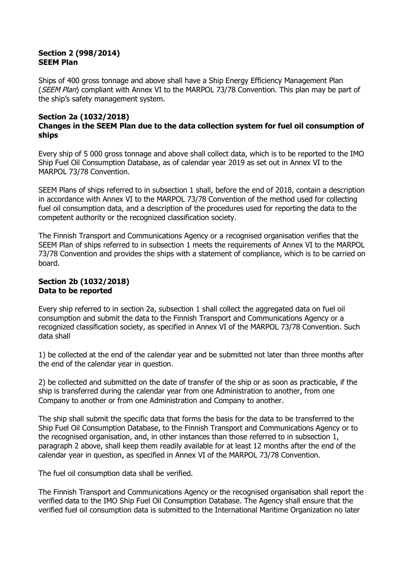#### **Section 2 (998/2014) SEEM Plan**

Ships of 400 gross tonnage and above shall have a Ship Energy Efficiency Management Plan (SEEM Plan) compliant with Annex VI to the MARPOL 73/78 Convention. This plan may be part of the ship's safety management system.

#### **Section 2a (1032/2018) Changes in the SEEM Plan due to the data collection system for fuel oil consumption of ships**

Every ship of 5 000 gross tonnage and above shall collect data, which is to be reported to the IMO Ship Fuel Oil Consumption Database, as of calendar year 2019 as set out in Annex VI to the MARPOL 73/78 Convention.

SEEM Plans of ships referred to in subsection 1 shall, before the end of 2018, contain a description in accordance with Annex VI to the MARPOL 73/78 Convention of the method used for collecting fuel oil consumption data, and a description of the procedures used for reporting the data to the competent authority or the recognized classification society.

The Finnish Transport and Communications Agency or a recognised organisation verifies that the SEEM Plan of ships referred to in subsection 1 meets the requirements of Annex VI to the MARPOL 73/78 Convention and provides the ships with a statement of compliance, which is to be carried on board.

### **Section 2b (1032/2018) Data to be reported**

Every ship referred to in section 2a, subsection 1 shall collect the aggregated data on fuel oil consumption and submit the data to the Finnish Transport and Communications Agency or a recognized classification society, as specified in Annex VI of the MARPOL 73/78 Convention. Such data shall

1) be collected at the end of the calendar year and be submitted not later than three months after the end of the calendar year in question.

2) be collected and submitted on the date of transfer of the ship or as soon as practicable, if the ship is transferred during the calendar year from one Administration to another, from one Company to another or from one Administration and Company to another.

The ship shall submit the specific data that forms the basis for the data to be transferred to the Ship Fuel Oil Consumption Database, to the Finnish Transport and Communications Agency or to the recognised organisation, and, in other instances than those referred to in subsection 1, paragraph 2 above, shall keep them readily available for at least 12 months after the end of the calendar year in question, as specified in Annex VI of the MARPOL 73/78 Convention.

The fuel oil consumption data shall be verified.

The Finnish Transport and Communications Agency or the recognised organisation shall report the verified data to the IMO Ship Fuel Oil Consumption Database. The Agency shall ensure that the verified fuel oil consumption data is submitted to the International Maritime Organization no later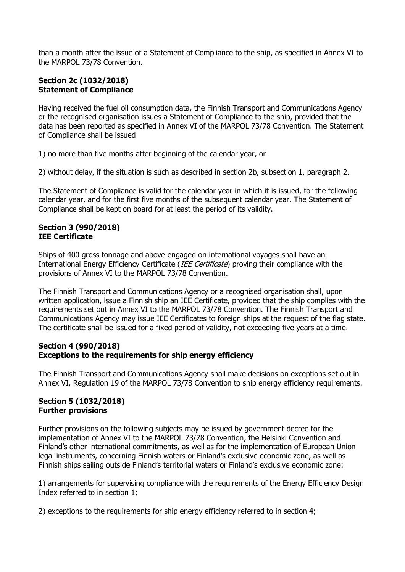than a month after the issue of a Statement of Compliance to the ship, as specified in Annex VI to the MARPOL 73/78 Convention.

# **Section 2c (1032/2018) Statement of Compliance**

Having received the fuel oil consumption data, the Finnish Transport and Communications Agency or the recognised organisation issues a Statement of Compliance to the ship, provided that the data has been reported as specified in Annex VI of the MARPOL 73/78 Convention. The Statement of Compliance shall be issued

1) no more than five months after beginning of the calendar year, or

2) without delay, if the situation is such as described in section 2b, subsection 1, paragraph 2.

The Statement of Compliance is valid for the calendar year in which it is issued, for the following calendar year, and for the first five months of the subsequent calendar year. The Statement of Compliance shall be kept on board for at least the period of its validity.

### **Section 3 (990/2018) IEE Certificate**

Ships of 400 gross tonnage and above engaged on international voyages shall have an International Energy Efficiency Certificate (IEE Certificate) proving their compliance with the provisions of Annex VI to the MARPOL 73/78 Convention.

The Finnish Transport and Communications Agency or a recognised organisation shall, upon written application, issue a Finnish ship an IEE Certificate, provided that the ship complies with the requirements set out in Annex VI to the MARPOL 73/78 Convention. The Finnish Transport and Communications Agency may issue IEE Certificates to foreign ships at the request of the flag state. The certificate shall be issued for a fixed period of validity, not exceeding five years at a time.

### **Section 4 (990/2018) Exceptions to the requirements for ship energy efficiency**

The Finnish Transport and Communications Agency shall make decisions on exceptions set out in Annex VI, Regulation 19 of the MARPOL 73/78 Convention to ship energy efficiency requirements.

### **Section 5 (1032/2018) Further provisions**

Further provisions on the following subjects may be issued by government decree for the implementation of Annex VI to the MARPOL 73/78 Convention, the Helsinki Convention and Finland's other international commitments, as well as for the implementation of European Union legal instruments, concerning Finnish waters or Finland's exclusive economic zone, as well as Finnish ships sailing outside Finland's territorial waters or Finland's exclusive economic zone:

1) arrangements for supervising compliance with the requirements of the Energy Efficiency Design Index referred to in section 1;

2) exceptions to the requirements for ship energy efficiency referred to in section 4;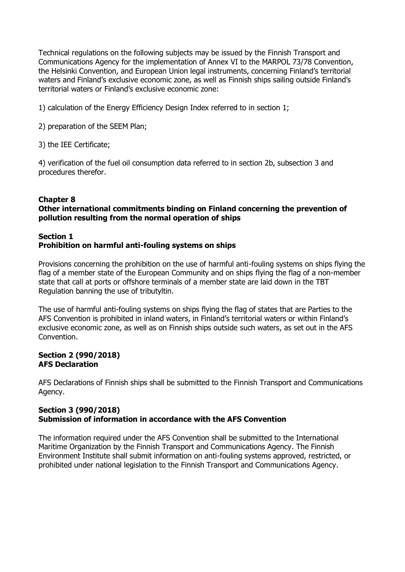Technical regulations on the following subjects may be issued by the Finnish Transport and Communications Agency for the implementation of Annex VI to the MARPOL 73/78 Convention, the Helsinki Convention, and European Union legal instruments, concerning Finland's territorial waters and Finland's exclusive economic zone, as well as Finnish ships sailing outside Finland's territorial waters or Finland's exclusive economic zone:

1) calculation of the Energy Efficiency Design Index referred to in section 1;

2) preparation of the SEEM Plan;

3) the IEE Certificate;

4) verification of the fuel oil consumption data referred to in section 2b, subsection 3 and procedures therefor.

### **Chapter 8**

### **Other international commitments binding on Finland concerning the prevention of pollution resulting from the normal operation of ships**

### **Section 1 Prohibition on harmful anti-fouling systems on ships**

Provisions concerning the prohibition on the use of harmful anti-fouling systems on ships flying the flag of a member state of the European Community and on ships flying the flag of a non-member state that call at ports or offshore terminals of a member state are laid down in the TBT Regulation banning the use of tributyltin.

The use of harmful anti-fouling systems on ships flying the flag of states that are Parties to the AFS Convention is prohibited in inland waters, in Finland's territorial waters or within Finland's exclusive economic zone, as well as on Finnish ships outside such waters, as set out in the AFS Convention.

### **Section 2 (990/2018) AFS Declaration**

AFS Declarations of Finnish ships shall be submitted to the Finnish Transport and Communications Agency.

### **Section 3 (990/2018) Submission of information in accordance with the AFS Convention**

The information required under the AFS Convention shall be submitted to the International Maritime Organization by the Finnish Transport and Communications Agency. The Finnish Environment Institute shall submit information on anti-fouling systems approved, restricted, or prohibited under national legislation to the Finnish Transport and Communications Agency.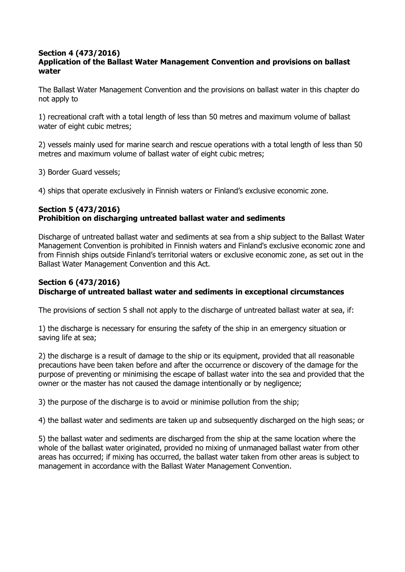#### **Section 4 (473/2016) Application of the Ballast Water Management Convention and provisions on ballast water**

The Ballast Water Management Convention and the provisions on ballast water in this chapter do not apply to

1) recreational craft with a total length of less than 50 metres and maximum volume of ballast water of eight cubic metres;

2) vessels mainly used for marine search and rescue operations with a total length of less than 50 metres and maximum volume of ballast water of eight cubic metres;

3) Border Guard vessels;

4) ships that operate exclusively in Finnish waters or Finland's exclusive economic zone.

# **Section 5 (473/2016) Prohibition on discharging untreated ballast water and sediments**

Discharge of untreated ballast water and sediments at sea from a ship subject to the Ballast Water Management Convention is prohibited in Finnish waters and Finland's exclusive economic zone and from Finnish ships outside Finland's territorial waters or exclusive economic zone, as set out in the Ballast Water Management Convention and this Act.

# **Section 6 (473/2016) Discharge of untreated ballast water and sediments in exceptional circumstances**

The provisions of section 5 shall not apply to the discharge of untreated ballast water at sea, if:

1) the discharge is necessary for ensuring the safety of the ship in an emergency situation or saving life at sea;

2) the discharge is a result of damage to the ship or its equipment, provided that all reasonable precautions have been taken before and after the occurrence or discovery of the damage for the purpose of preventing or minimising the escape of ballast water into the sea and provided that the owner or the master has not caused the damage intentionally or by negligence;

3) the purpose of the discharge is to avoid or minimise pollution from the ship;

4) the ballast water and sediments are taken up and subsequently discharged on the high seas; or

5) the ballast water and sediments are discharged from the ship at the same location where the whole of the ballast water originated, provided no mixing of unmanaged ballast water from other areas has occurred; if mixing has occurred, the ballast water taken from other areas is subject to management in accordance with the Ballast Water Management Convention.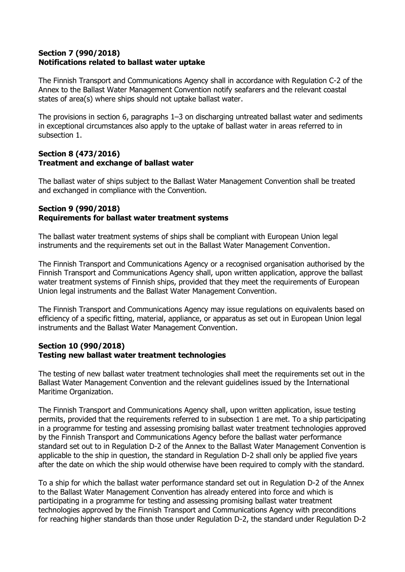### **Section 7 (990/2018) Notifications related to ballast water uptake**

The Finnish Transport and Communications Agency shall in accordance with Regulation C-2 of the Annex to the Ballast Water Management Convention notify seafarers and the relevant coastal states of area(s) where ships should not uptake ballast water.

The provisions in section 6, paragraphs 1–3 on discharging untreated ballast water and sediments in exceptional circumstances also apply to the uptake of ballast water in areas referred to in subsection 1.

### **Section 8 (473/2016) Treatment and exchange of ballast water**

The ballast water of ships subject to the Ballast Water Management Convention shall be treated and exchanged in compliance with the Convention.

### **Section 9 (990/2018) Requirements for ballast water treatment systems**

The ballast water treatment systems of ships shall be compliant with European Union legal instruments and the requirements set out in the Ballast Water Management Convention.

The Finnish Transport and Communications Agency or a recognised organisation authorised by the Finnish Transport and Communications Agency shall, upon written application, approve the ballast water treatment systems of Finnish ships, provided that they meet the requirements of European Union legal instruments and the Ballast Water Management Convention.

The Finnish Transport and Communications Agency may issue regulations on equivalents based on efficiency of a specific fitting, material, appliance, or apparatus as set out in European Union legal instruments and the Ballast Water Management Convention.

### **Section 10 (990/2018) Testing new ballast water treatment technologies**

The testing of new ballast water treatment technologies shall meet the requirements set out in the Ballast Water Management Convention and the relevant guidelines issued by the International Maritime Organization.

The Finnish Transport and Communications Agency shall, upon written application, issue testing permits, provided that the requirements referred to in subsection 1 are met. To a ship participating in a programme for testing and assessing promising ballast water treatment technologies approved by the Finnish Transport and Communications Agency before the ballast water performance standard set out to in Regulation D-2 of the Annex to the Ballast Water Management Convention is applicable to the ship in question, the standard in Regulation D-2 shall only be applied five years after the date on which the ship would otherwise have been required to comply with the standard.

To a ship for which the ballast water performance standard set out in Regulation D-2 of the Annex to the Ballast Water Management Convention has already entered into force and which is participating in a programme for testing and assessing promising ballast water treatment technologies approved by the Finnish Transport and Communications Agency with preconditions for reaching higher standards than those under Regulation D-2, the standard under Regulation D-2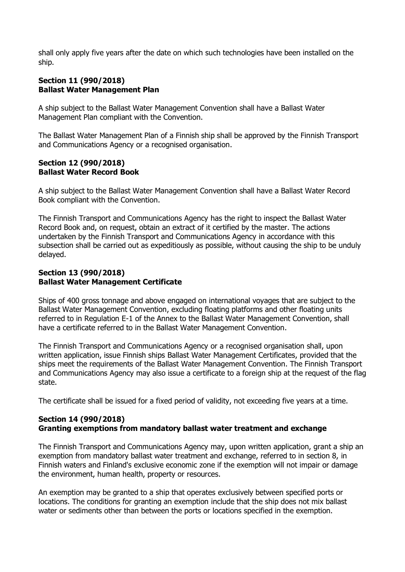shall only apply five years after the date on which such technologies have been installed on the ship.

#### **Section 11 (990/2018) Ballast Water Management Plan**

A ship subject to the Ballast Water Management Convention shall have a Ballast Water Management Plan compliant with the Convention.

The Ballast Water Management Plan of a Finnish ship shall be approved by the Finnish Transport and Communications Agency or a recognised organisation.

#### **Section 12 (990/2018) Ballast Water Record Book**

A ship subject to the Ballast Water Management Convention shall have a Ballast Water Record Book compliant with the Convention.

The Finnish Transport and Communications Agency has the right to inspect the Ballast Water Record Book and, on request, obtain an extract of it certified by the master. The actions undertaken by the Finnish Transport and Communications Agency in accordance with this subsection shall be carried out as expeditiously as possible, without causing the ship to be unduly delayed.

### **Section 13 (990/2018) Ballast Water Management Certificate**

Ships of 400 gross tonnage and above engaged on international voyages that are subject to the Ballast Water Management Convention, excluding floating platforms and other floating units referred to in Regulation E-1 of the Annex to the Ballast Water Management Convention, shall have a certificate referred to in the Ballast Water Management Convention.

The Finnish Transport and Communications Agency or a recognised organisation shall, upon written application, issue Finnish ships Ballast Water Management Certificates, provided that the ships meet the requirements of the Ballast Water Management Convention. The Finnish Transport and Communications Agency may also issue a certificate to a foreign ship at the request of the flag state.

The certificate shall be issued for a fixed period of validity, not exceeding five years at a time.

### **Section 14 (990/2018) Granting exemptions from mandatory ballast water treatment and exchange**

The Finnish Transport and Communications Agency may, upon written application, grant a ship an exemption from mandatory ballast water treatment and exchange, referred to in section 8, in Finnish waters and Finland's exclusive economic zone if the exemption will not impair or damage the environment, human health, property or resources.

An exemption may be granted to a ship that operates exclusively between specified ports or locations. The conditions for granting an exemption include that the ship does not mix ballast water or sediments other than between the ports or locations specified in the exemption.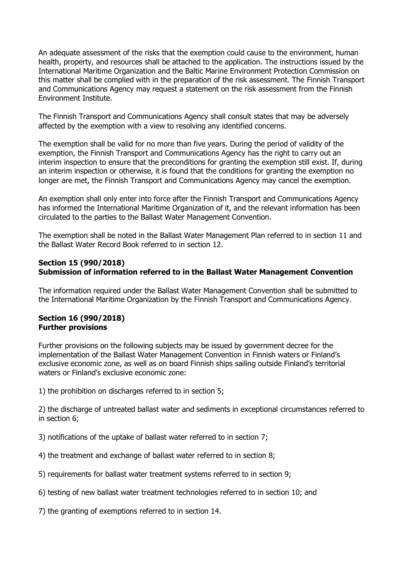An adequate assessment of the risks that the exemption could cause to the environment, human health, property, and resources shall be attached to the application. The instructions issued by the International Maritime Organization and the Baltic Marine Environment Protection Commission on this matter shall be complied with in the preparation of the risk assessment. The Finnish Transport and Communications Agency may request a statement on the risk assessment from the Finnish Environment Institute.

The Finnish Transport and Communications Agency shall consult states that may be adversely affected by the exemption with a view to resolving any identified concerns.

The exemption shall be valid for no more than five years. During the period of validity of the exemption, the Finnish Transport and Communications Agency has the right to carry out an interim inspection to ensure that the preconditions for granting the exemption still exist. If, during an interim inspection or otherwise, it is found that the conditions for granting the exemption no longer are met, the Finnish Transport and Communications Agency may cancel the exemption.

An exemption shall only enter into force after the Finnish Transport and Communications Agency has informed the International Maritime Organization of it, and the relevant information has been circulated to the parties to the Ballast Water Management Convention.

The exemption shall be noted in the Ballast Water Management Plan referred to in section 11 and the Ballast Water Record Book referred to in section 12.

### **Section 15 (990/2018) Submission of information referred to in the Ballast Water Management Convention**

The information required under the Ballast Water Management Convention shall be submitted to the International Maritime Organization by the Finnish Transport and Communications Agency.

#### **Section 16 (990/2018) Further provisions**

Further provisions on the following subjects may be issued by government decree for the implementation of the Ballast Water Management Convention in Finnish waters or Finland's exclusive economic zone, as well as on board Finnish ships sailing outside Finland's territorial waters or Finland's exclusive economic zone:

1) the prohibition on discharges referred to in section 5;

2) the discharge of untreated ballast water and sediments in exceptional circumstances referred to in section 6;

- 3) notifications of the uptake of ballast water referred to in section 7;
- 4) the treatment and exchange of ballast water referred to in section 8;
- 5) requirements for ballast water treatment systems referred to in section 9;
- 6) testing of new ballast water treatment technologies referred to in section 10; and
- 7) the granting of exemptions referred to in section 14.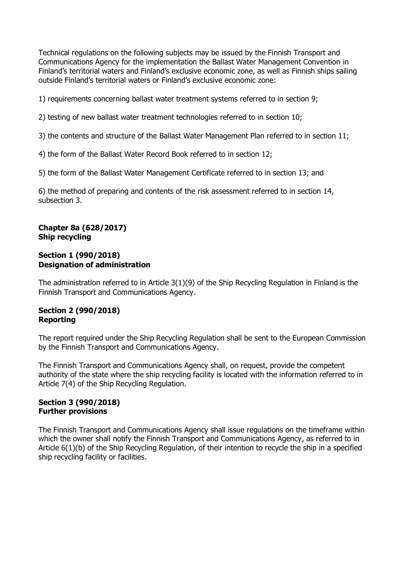Technical regulations on the following subjects may be issued by the Finnish Transport and Communications Agency for the implementation the Ballast Water Management Convention in Finland's territorial waters and Finland's exclusive economic zone, as well as Finnish ships sailing outside Finland's territorial waters or Finland's exclusive economic zone:

1) requirements concerning ballast water treatment systems referred to in section 9;

2) testing of new ballast water treatment technologies referred to in section 10;

3) the contents and structure of the Ballast Water Management Plan referred to in section 11;

4) the form of the Ballast Water Record Book referred to in section 12;

5) the form of the Ballast Water Management Certificate referred to in section 13; and

6) the method of preparing and contents of the risk assessment referred to in section 14, subsection 3.

### **Chapter 8a (628/2017) Ship recycling**

#### **Section 1 (990/2018) Designation of administration**

The administration referred to in Article 3(1)(9) of the Ship Recycling Regulation in Finland is the Finnish Transport and Communications Agency.

# **Section 2 (990/2018) Reporting**

The report required under the Ship Recycling Regulation shall be sent to the European Commission by the Finnish Transport and Communications Agency.

The Finnish Transport and Communications Agency shall, on request, provide the competent authority of the state where the ship recycling facility is located with the information referred to in Article 7(4) of the Ship Recycling Regulation.

### **Section 3 (990/2018) Further provisions**

The Finnish Transport and Communications Agency shall issue regulations on the timeframe within which the owner shall notify the Finnish Transport and Communications Agency, as referred to in Article 6(1)(b) of the Ship Recycling Regulation, of their intention to recycle the ship in a specified ship recycling facility or facilities.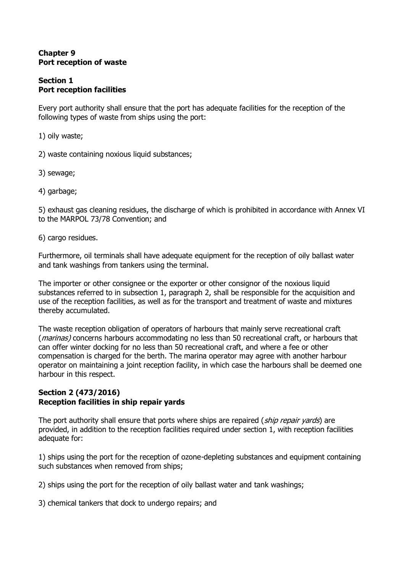### **Chapter 9 Port reception of waste**

### **Section 1 Port reception facilities**

Every port authority shall ensure that the port has adequate facilities for the reception of the following types of waste from ships using the port:

1) oily waste;

2) waste containing noxious liquid substances;

3) sewage;

4) garbage;

5) exhaust gas cleaning residues, the discharge of which is prohibited in accordance with Annex VI to the MARPOL 73/78 Convention; and

6) cargo residues.

Furthermore, oil terminals shall have adequate equipment for the reception of oily ballast water and tank washings from tankers using the terminal.

The importer or other consignee or the exporter or other consignor of the noxious liquid substances referred to in subsection 1, paragraph 2, shall be responsible for the acquisition and use of the reception facilities, as well as for the transport and treatment of waste and mixtures thereby accumulated.

The waste reception obligation of operators of harbours that mainly serve recreational craft (*marinas*) concerns harbours accommodating no less than 50 recreational craft, or harbours that can offer winter docking for no less than 50 recreational craft, and where a fee or other compensation is charged for the berth. The marina operator may agree with another harbour operator on maintaining a joint reception facility, in which case the harbours shall be deemed one harbour in this respect.

### **Section 2 (473/2016) Reception facilities in ship repair yards**

The port authority shall ensure that ports where ships are repaired (ship repair vards) are provided, in addition to the reception facilities required under section 1, with reception facilities adequate for:

1) ships using the port for the reception of ozone-depleting substances and equipment containing such substances when removed from ships;

2) ships using the port for the reception of oily ballast water and tank washings;

3) chemical tankers that dock to undergo repairs; and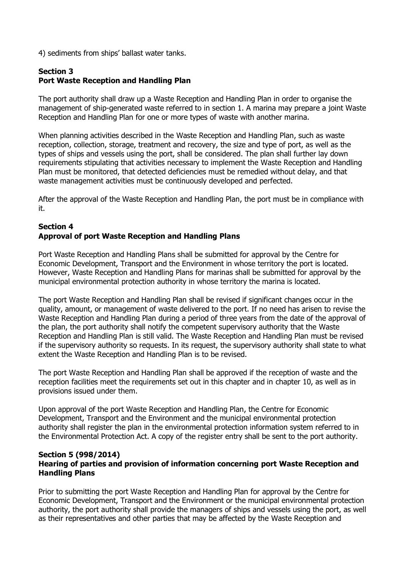4) sediments from ships' ballast water tanks.

# **Section 3 Port Waste Reception and Handling Plan**

The port authority shall draw up a Waste Reception and Handling Plan in order to organise the management of ship-generated waste referred to in section 1. A marina may prepare a joint Waste Reception and Handling Plan for one or more types of waste with another marina.

When planning activities described in the Waste Reception and Handling Plan, such as waste reception, collection, storage, treatment and recovery, the size and type of port, as well as the types of ships and vessels using the port, shall be considered. The plan shall further lay down requirements stipulating that activities necessary to implement the Waste Reception and Handling Plan must be monitored, that detected deficiencies must be remedied without delay, and that waste management activities must be continuously developed and perfected.

After the approval of the Waste Reception and Handling Plan, the port must be in compliance with it.

# **Section 4 Approval of port Waste Reception and Handling Plans**

Port Waste Reception and Handling Plans shall be submitted for approval by the Centre for Economic Development, Transport and the Environment in whose territory the port is located. However, Waste Reception and Handling Plans for marinas shall be submitted for approval by the municipal environmental protection authority in whose territory the marina is located.

The port Waste Reception and Handling Plan shall be revised if significant changes occur in the quality, amount, or management of waste delivered to the port. If no need has arisen to revise the Waste Reception and Handling Plan during a period of three years from the date of the approval of the plan, the port authority shall notify the competent supervisory authority that the Waste Reception and Handling Plan is still valid. The Waste Reception and Handling Plan must be revised if the supervisory authority so requests. In its request, the supervisory authority shall state to what extent the Waste Reception and Handling Plan is to be revised.

The port Waste Reception and Handling Plan shall be approved if the reception of waste and the reception facilities meet the requirements set out in this chapter and in chapter 10, as well as in provisions issued under them.

Upon approval of the port Waste Reception and Handling Plan, the Centre for Economic Development, Transport and the Environment and the municipal environmental protection authority shall register the plan in the environmental protection information system referred to in the Environmental Protection Act. A copy of the register entry shall be sent to the port authority.

#### **Section 5 (998/2014) Hearing of parties and provision of information concerning port Waste Reception and Handling Plans**

Prior to submitting the port Waste Reception and Handling Plan for approval by the Centre for Economic Development, Transport and the Environment or the municipal environmental protection authority, the port authority shall provide the managers of ships and vessels using the port, as well as their representatives and other parties that may be affected by the Waste Reception and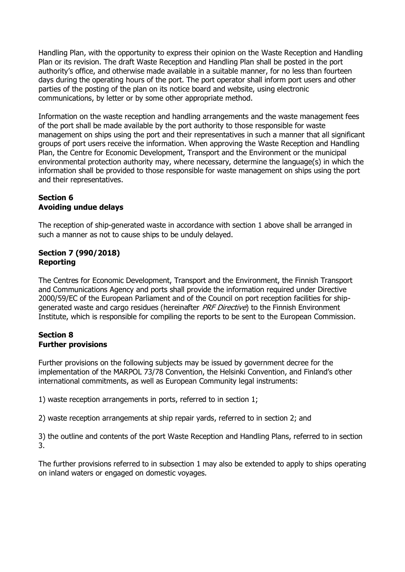Handling Plan, with the opportunity to express their opinion on the Waste Reception and Handling Plan or its revision. The draft Waste Reception and Handling Plan shall be posted in the port authority's office, and otherwise made available in a suitable manner, for no less than fourteen days during the operating hours of the port. The port operator shall inform port users and other parties of the posting of the plan on its notice board and website, using electronic communications, by letter or by some other appropriate method.

Information on the waste reception and handling arrangements and the waste management fees of the port shall be made available by the port authority to those responsible for waste management on ships using the port and their representatives in such a manner that all significant groups of port users receive the information. When approving the Waste Reception and Handling Plan, the Centre for Economic Development, Transport and the Environment or the municipal environmental protection authority may, where necessary, determine the language(s) in which the information shall be provided to those responsible for waste management on ships using the port and their representatives.

# **Section 6 Avoiding undue delays**

The reception of ship-generated waste in accordance with section 1 above shall be arranged in such a manner as not to cause ships to be unduly delayed.

# **Section 7 (990/2018) Reporting**

The Centres for Economic Development, Transport and the Environment, the Finnish Transport and Communications Agency and ports shall provide the information required under Directive 2000/59/EC of the European Parliament and of the Council on port reception facilities for shipgenerated waste and cargo residues (hereinafter PRF Directive) to the Finnish Environment Institute, which is responsible for compiling the reports to be sent to the European Commission.

# **Section 8 Further provisions**

Further provisions on the following subjects may be issued by government decree for the implementation of the MARPOL 73/78 Convention, the Helsinki Convention, and Finland's other international commitments, as well as European Community legal instruments:

1) waste reception arrangements in ports, referred to in section 1;

2) waste reception arrangements at ship repair yards, referred to in section 2; and

3) the outline and contents of the port Waste Reception and Handling Plans, referred to in section 3.

The further provisions referred to in subsection 1 may also be extended to apply to ships operating on inland waters or engaged on domestic voyages.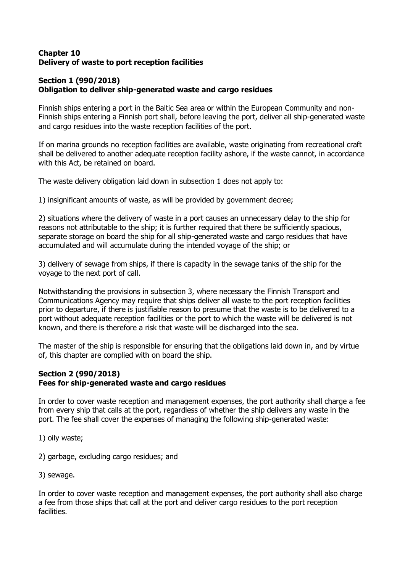### **Chapter 10 Delivery of waste to port reception facilities**

# **Section 1 (990/2018) Obligation to deliver ship-generated waste and cargo residues**

Finnish ships entering a port in the Baltic Sea area or within the European Community and non-Finnish ships entering a Finnish port shall, before leaving the port, deliver all ship-generated waste and cargo residues into the waste reception facilities of the port.

If on marina grounds no reception facilities are available, waste originating from recreational craft shall be delivered to another adequate reception facility ashore, if the waste cannot, in accordance with this Act, be retained on board.

The waste delivery obligation laid down in subsection 1 does not apply to:

1) insignificant amounts of waste, as will be provided by government decree;

2) situations where the delivery of waste in a port causes an unnecessary delay to the ship for reasons not attributable to the ship; it is further required that there be sufficiently spacious, separate storage on board the ship for all ship-generated waste and cargo residues that have accumulated and will accumulate during the intended voyage of the ship; or

3) delivery of sewage from ships, if there is capacity in the sewage tanks of the ship for the voyage to the next port of call.

Notwithstanding the provisions in subsection 3, where necessary the Finnish Transport and Communications Agency may require that ships deliver all waste to the port reception facilities prior to departure, if there is justifiable reason to presume that the waste is to be delivered to a port without adequate reception facilities or the port to which the waste will be delivered is not known, and there is therefore a risk that waste will be discharged into the sea.

The master of the ship is responsible for ensuring that the obligations laid down in, and by virtue of, this chapter are complied with on board the ship.

### **Section 2 (990/2018) Fees for ship-generated waste and cargo residues**

In order to cover waste reception and management expenses, the port authority shall charge a fee from every ship that calls at the port, regardless of whether the ship delivers any waste in the port. The fee shall cover the expenses of managing the following ship-generated waste:

- 1) oily waste;
- 2) garbage, excluding cargo residues; and
- 3) sewage.

In order to cover waste reception and management expenses, the port authority shall also charge a fee from those ships that call at the port and deliver cargo residues to the port reception facilities.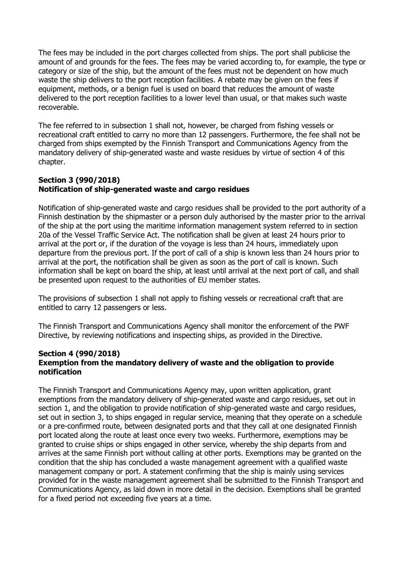The fees may be included in the port charges collected from ships. The port shall publicise the amount of and grounds for the fees. The fees may be varied according to, for example, the type or category or size of the ship, but the amount of the fees must not be dependent on how much waste the ship delivers to the port reception facilities. A rebate may be given on the fees if equipment, methods, or a benign fuel is used on board that reduces the amount of waste delivered to the port reception facilities to a lower level than usual, or that makes such waste recoverable.

The fee referred to in subsection 1 shall not, however, be charged from fishing vessels or recreational craft entitled to carry no more than 12 passengers. Furthermore, the fee shall not be charged from ships exempted by the Finnish Transport and Communications Agency from the mandatory delivery of ship-generated waste and waste residues by virtue of section 4 of this chapter.

### **Section 3 (990/2018) Notification of ship-generated waste and cargo residues**

Notification of ship-generated waste and cargo residues shall be provided to the port authority of a Finnish destination by the shipmaster or a person duly authorised by the master prior to the arrival of the ship at the port using the maritime information management system referred to in section 20a of the Vessel Traffic Service Act. The notification shall be given at least 24 hours prior to arrival at the port or, if the duration of the voyage is less than 24 hours, immediately upon departure from the previous port. If the port of call of a ship is known less than 24 hours prior to arrival at the port, the notification shall be given as soon as the port of call is known. Such information shall be kept on board the ship, at least until arrival at the next port of call, and shall be presented upon request to the authorities of EU member states.

The provisions of subsection 1 shall not apply to fishing vessels or recreational craft that are entitled to carry 12 passengers or less.

The Finnish Transport and Communications Agency shall monitor the enforcement of the PWF Directive, by reviewing notifications and inspecting ships, as provided in the Directive.

#### **Section 4 (990/2018) Exemption from the mandatory delivery of waste and the obligation to provide notification**

The Finnish Transport and Communications Agency may, upon written application, grant exemptions from the mandatory delivery of ship-generated waste and cargo residues, set out in section 1, and the obligation to provide notification of ship-generated waste and cargo residues, set out in section 3, to ships engaged in regular service, meaning that they operate on a schedule or a pre-confirmed route, between designated ports and that they call at one designated Finnish port located along the route at least once every two weeks. Furthermore, exemptions may be granted to cruise ships or ships engaged in other service, whereby the ship departs from and arrives at the same Finnish port without calling at other ports. Exemptions may be granted on the condition that the ship has concluded a waste management agreement with a qualified waste management company or port. A statement confirming that the ship is mainly using services provided for in the waste management agreement shall be submitted to the Finnish Transport and Communications Agency, as laid down in more detail in the decision. Exemptions shall be granted for a fixed period not exceeding five years at a time.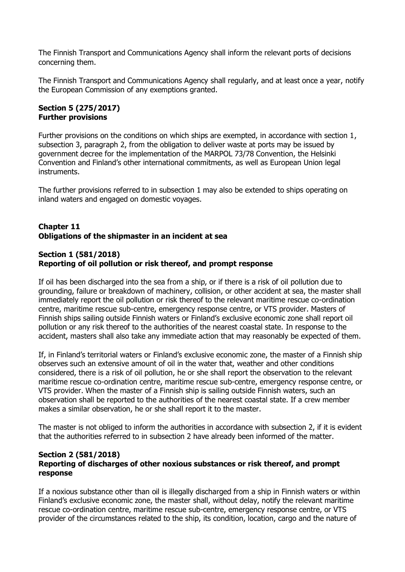The Finnish Transport and Communications Agency shall inform the relevant ports of decisions concerning them.

The Finnish Transport and Communications Agency shall regularly, and at least once a year, notify the European Commission of any exemptions granted.

### **Section 5 (275/2017) Further provisions**

Further provisions on the conditions on which ships are exempted, in accordance with section 1, subsection 3, paragraph 2, from the obligation to deliver waste at ports may be issued by government decree for the implementation of the MARPOL 73/78 Convention, the Helsinki Convention and Finland's other international commitments, as well as European Union legal instruments.

The further provisions referred to in subsection 1 may also be extended to ships operating on inland waters and engaged on domestic voyages.

# **Chapter 11 Obligations of the shipmaster in an incident at sea**

### **Section 1 (581/2018) Reporting of oil pollution or risk thereof, and prompt response**

If oil has been discharged into the sea from a ship, or if there is a risk of oil pollution due to grounding, failure or breakdown of machinery, collision, or other accident at sea, the master shall immediately report the oil pollution or risk thereof to the relevant maritime rescue co-ordination centre, maritime rescue sub-centre, emergency response centre, or VTS provider. Masters of Finnish ships sailing outside Finnish waters or Finland's exclusive economic zone shall report oil pollution or any risk thereof to the authorities of the nearest coastal state. In response to the accident, masters shall also take any immediate action that may reasonably be expected of them.

If, in Finland's territorial waters or Finland's exclusive economic zone, the master of a Finnish ship observes such an extensive amount of oil in the water that, weather and other conditions considered, there is a risk of oil pollution, he or she shall report the observation to the relevant maritime rescue co-ordination centre, maritime rescue sub-centre, emergency response centre, or VTS provider. When the master of a Finnish ship is sailing outside Finnish waters, such an observation shall be reported to the authorities of the nearest coastal state. If a crew member makes a similar observation, he or she shall report it to the master.

The master is not obliged to inform the authorities in accordance with subsection 2, if it is evident that the authorities referred to in subsection 2 have already been informed of the matter.

#### **Section 2 (581/2018) Reporting of discharges of other noxious substances or risk thereof, and prompt response**

If a noxious substance other than oil is illegally discharged from a ship in Finnish waters or within Finland's exclusive economic zone, the master shall, without delay, notify the relevant maritime rescue co-ordination centre, maritime rescue sub-centre, emergency response centre, or VTS provider of the circumstances related to the ship, its condition, location, cargo and the nature of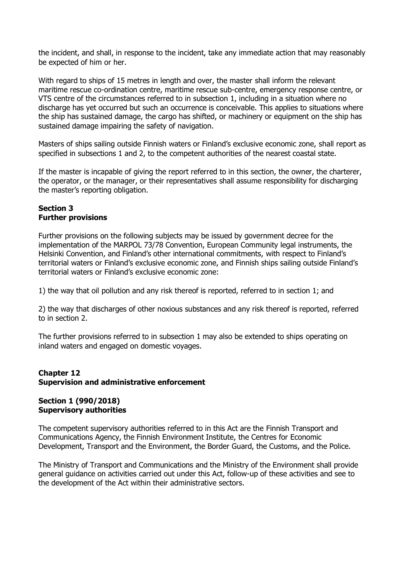the incident, and shall, in response to the incident, take any immediate action that may reasonably be expected of him or her.

With regard to ships of 15 metres in length and over, the master shall inform the relevant maritime rescue co-ordination centre, maritime rescue sub-centre, emergency response centre, or VTS centre of the circumstances referred to in subsection 1, including in a situation where no discharge has yet occurred but such an occurrence is conceivable. This applies to situations where the ship has sustained damage, the cargo has shifted, or machinery or equipment on the ship has sustained damage impairing the safety of navigation.

Masters of ships sailing outside Finnish waters or Finland's exclusive economic zone, shall report as specified in subsections 1 and 2, to the competent authorities of the nearest coastal state.

If the master is incapable of giving the report referred to in this section, the owner, the charterer, the operator, or the manager, or their representatives shall assume responsibility for discharging the master's reporting obligation.

#### **Section 3 Further provisions**

Further provisions on the following subjects may be issued by government decree for the implementation of the MARPOL 73/78 Convention, European Community legal instruments, the Helsinki Convention, and Finland's other international commitments, with respect to Finland's territorial waters or Finland's exclusive economic zone, and Finnish ships sailing outside Finland's territorial waters or Finland's exclusive economic zone:

1) the way that oil pollution and any risk thereof is reported, referred to in section 1; and

2) the way that discharges of other noxious substances and any risk thereof is reported, referred to in section 2.

The further provisions referred to in subsection 1 may also be extended to ships operating on inland waters and engaged on domestic voyages.

### **Chapter 12 Supervision and administrative enforcement**

### **Section 1 (990/2018) Supervisory authorities**

The competent supervisory authorities referred to in this Act are the Finnish Transport and Communications Agency, the Finnish Environment Institute, the Centres for Economic Development, Transport and the Environment, the Border Guard, the Customs, and the Police.

The Ministry of Transport and Communications and the Ministry of the Environment shall provide general guidance on activities carried out under this Act, follow-up of these activities and see to the development of the Act within their administrative sectors.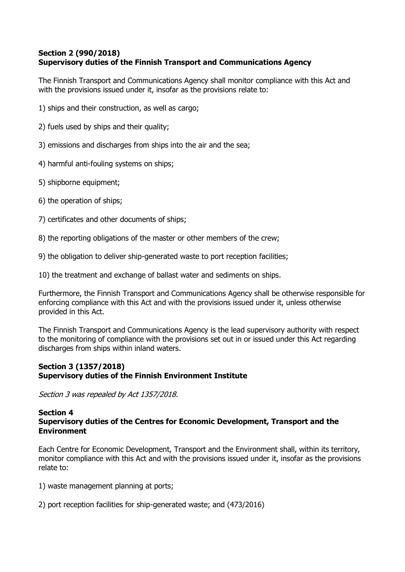# **Section 2 (990/2018) Supervisory duties of the Finnish Transport and Communications Agency**

The Finnish Transport and Communications Agency shall monitor compliance with this Act and with the provisions issued under it, insofar as the provisions relate to:

- 1) ships and their construction, as well as cargo;
- 2) fuels used by ships and their quality;
- 3) emissions and discharges from ships into the air and the sea;
- 4) harmful anti-fouling systems on ships;
- 5) shipborne equipment;
- 6) the operation of ships;
- 7) certificates and other documents of ships;
- 8) the reporting obligations of the master or other members of the crew;
- 9) the obligation to deliver ship-generated waste to port reception facilities;
- 10) the treatment and exchange of ballast water and sediments on ships.

Furthermore, the Finnish Transport and Communications Agency shall be otherwise responsible for enforcing compliance with this Act and with the provisions issued under it, unless otherwise provided in this Act.

The Finnish Transport and Communications Agency is the lead supervisory authority with respect to the monitoring of compliance with the provisions set out in or issued under this Act regarding discharges from ships within inland waters.

### **Section 3 (1357/2018) Supervisory duties of the Finnish Environment Institute**

Section 3 was repealed by Act 1357/2018.

#### **Section 4 Supervisory duties of the Centres for Economic Development, Transport and the Environment**

Each Centre for Economic Development, Transport and the Environment shall, within its territory, monitor compliance with this Act and with the provisions issued under it, insofar as the provisions relate to:

- 1) waste management planning at ports;
- 2) port reception facilities for ship-generated waste; and (473/2016)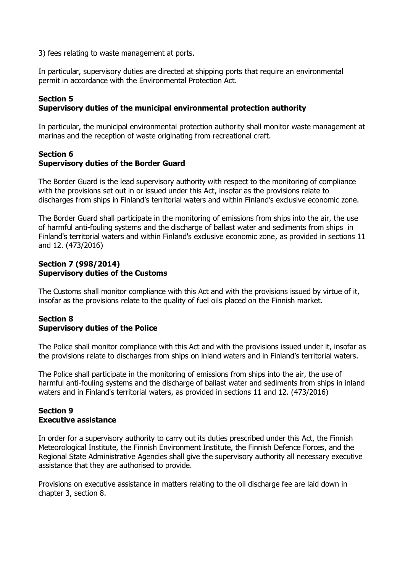3) fees relating to waste management at ports.

In particular, supervisory duties are directed at shipping ports that require an environmental permit in accordance with the Environmental Protection Act.

### **Section 5**

#### **Supervisory duties of the municipal environmental protection authority**

In particular, the municipal environmental protection authority shall monitor waste management at marinas and the reception of waste originating from recreational craft.

### **Section 6 Supervisory duties of the Border Guard**

The Border Guard is the lead supervisory authority with respect to the monitoring of compliance with the provisions set out in or issued under this Act, insofar as the provisions relate to discharges from ships in Finland's territorial waters and within Finland's exclusive economic zone.

The Border Guard shall participate in the monitoring of emissions from ships into the air, the use of harmful anti-fouling systems and the discharge of ballast water and sediments from ships in Finland's territorial waters and within Finland's exclusive economic zone, as provided in sections 11 and 12. (473/2016)

#### **Section 7 (998/2014) Supervisory duties of the Customs**

The Customs shall monitor compliance with this Act and with the provisions issued by virtue of it, insofar as the provisions relate to the quality of fuel oils placed on the Finnish market.

### **Section 8 Supervisory duties of the Police**

The Police shall monitor compliance with this Act and with the provisions issued under it, insofar as the provisions relate to discharges from ships on inland waters and in Finland's territorial waters.

The Police shall participate in the monitoring of emissions from ships into the air, the use of harmful anti-fouling systems and the discharge of ballast water and sediments from ships in inland waters and in Finland's territorial waters, as provided in sections 11 and 12. (473/2016)

### **Section 9 Executive assistance**

In order for a supervisory authority to carry out its duties prescribed under this Act, the Finnish Meteorological Institute, the Finnish Environment Institute, the Finnish Defence Forces, and the Regional State Administrative Agencies shall give the supervisory authority all necessary executive assistance that they are authorised to provide.

Provisions on executive assistance in matters relating to the oil discharge fee are laid down in chapter 3, section 8.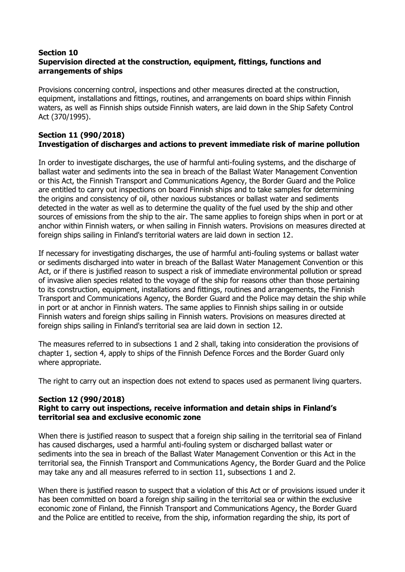### **Section 10 Supervision directed at the construction, equipment, fittings, functions and arrangements of ships**

Provisions concerning control, inspections and other measures directed at the construction, equipment, installations and fittings, routines, and arrangements on board ships within Finnish waters, as well as Finnish ships outside Finnish waters, are laid down in the Ship Safety Control Act (370/1995).

### **Section 11 (990/2018) Investigation of discharges and actions to prevent immediate risk of marine pollution**

In order to investigate discharges, the use of harmful anti-fouling systems, and the discharge of ballast water and sediments into the sea in breach of the Ballast Water Management Convention or this Act, the Finnish Transport and Communications Agency, the Border Guard and the Police are entitled to carry out inspections on board Finnish ships and to take samples for determining the origins and consistency of oil, other noxious substances or ballast water and sediments detected in the water as well as to determine the quality of the fuel used by the ship and other sources of emissions from the ship to the air. The same applies to foreign ships when in port or at anchor within Finnish waters, or when sailing in Finnish waters. Provisions on measures directed at foreign ships sailing in Finland's territorial waters are laid down in section 12.

If necessary for investigating discharges, the use of harmful anti-fouling systems or ballast water or sediments discharged into water in breach of the Ballast Water Management Convention or this Act, or if there is justified reason to suspect a risk of immediate environmental pollution or spread of invasive alien species related to the voyage of the ship for reasons other than those pertaining to its construction, equipment, installations and fittings, routines and arrangements, the Finnish Transport and Communications Agency, the Border Guard and the Police may detain the ship while in port or at anchor in Finnish waters. The same applies to Finnish ships sailing in or outside Finnish waters and foreign ships sailing in Finnish waters. Provisions on measures directed at foreign ships sailing in Finland's territorial sea are laid down in section 12.

The measures referred to in subsections 1 and 2 shall, taking into consideration the provisions of chapter 1, section 4, apply to ships of the Finnish Defence Forces and the Border Guard only where appropriate.

The right to carry out an inspection does not extend to spaces used as permanent living quarters.

### **Section 12 (990/2018)**

### **Right to carry out inspections, receive information and detain ships in Finland's territorial sea and exclusive economic zone**

When there is justified reason to suspect that a foreign ship sailing in the territorial sea of Finland has caused discharges, used a harmful anti-fouling system or discharged ballast water or sediments into the sea in breach of the Ballast Water Management Convention or this Act in the territorial sea, the Finnish Transport and Communications Agency, the Border Guard and the Police may take any and all measures referred to in section 11, subsections 1 and 2.

When there is justified reason to suspect that a violation of this Act or of provisions issued under it has been committed on board a foreign ship sailing in the territorial sea or within the exclusive economic zone of Finland, the Finnish Transport and Communications Agency, the Border Guard and the Police are entitled to receive, from the ship, information regarding the ship, its port of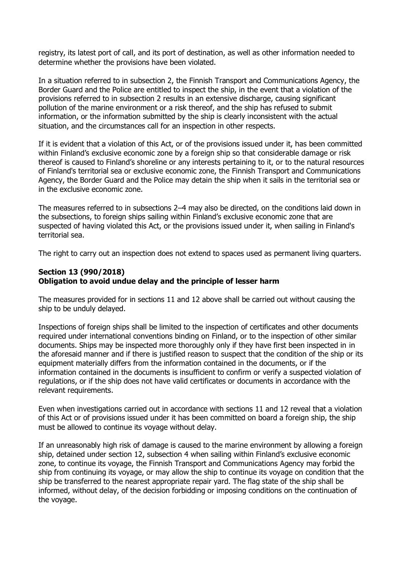registry, its latest port of call, and its port of destination, as well as other information needed to determine whether the provisions have been violated.

In a situation referred to in subsection 2, the Finnish Transport and Communications Agency, the Border Guard and the Police are entitled to inspect the ship, in the event that a violation of the provisions referred to in subsection 2 results in an extensive discharge, causing significant pollution of the marine environment or a risk thereof, and the ship has refused to submit information, or the information submitted by the ship is clearly inconsistent with the actual situation, and the circumstances call for an inspection in other respects.

If it is evident that a violation of this Act, or of the provisions issued under it, has been committed within Finland's exclusive economic zone by a foreign ship so that considerable damage or risk thereof is caused to Finland's shoreline or any interests pertaining to it, or to the natural resources of Finland's territorial sea or exclusive economic zone, the Finnish Transport and Communications Agency, the Border Guard and the Police may detain the ship when it sails in the territorial sea or in the exclusive economic zone.

The measures referred to in subsections 2–4 may also be directed, on the conditions laid down in the subsections, to foreign ships sailing within Finland's exclusive economic zone that are suspected of having violated this Act, or the provisions issued under it, when sailing in Finland's territorial sea.

The right to carry out an inspection does not extend to spaces used as permanent living quarters.

### **Section 13 (990/2018) Obligation to avoid undue delay and the principle of lesser harm**

The measures provided for in sections 11 and 12 above shall be carried out without causing the ship to be unduly delayed.

Inspections of foreign ships shall be limited to the inspection of certificates and other documents required under international conventions binding on Finland, or to the inspection of other similar documents. Ships may be inspected more thoroughly only if they have first been inspected in in the aforesaid manner and if there is justified reason to suspect that the condition of the ship or its equipment materially differs from the information contained in the documents, or if the information contained in the documents is insufficient to confirm or verify a suspected violation of regulations, or if the ship does not have valid certificates or documents in accordance with the relevant requirements.

Even when investigations carried out in accordance with sections 11 and 12 reveal that a violation of this Act or of provisions issued under it has been committed on board a foreign ship, the ship must be allowed to continue its voyage without delay.

If an unreasonably high risk of damage is caused to the marine environment by allowing a foreign ship, detained under section 12, subsection 4 when sailing within Finland's exclusive economic zone, to continue its voyage, the Finnish Transport and Communications Agency may forbid the ship from continuing its voyage, or may allow the ship to continue its voyage on condition that the ship be transferred to the nearest appropriate repair yard. The flag state of the ship shall be informed, without delay, of the decision forbidding or imposing conditions on the continuation of the voyage.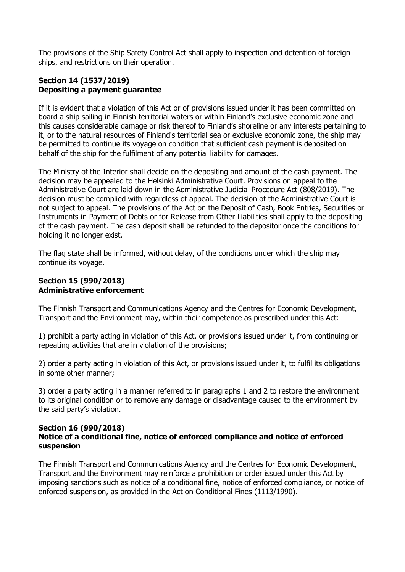The provisions of the Ship Safety Control Act shall apply to inspection and detention of foreign ships, and restrictions on their operation.

# **Section 14 (1537/2019) Depositing a payment guarantee**

If it is evident that a violation of this Act or of provisions issued under it has been committed on board a ship sailing in Finnish territorial waters or within Finland's exclusive economic zone and this causes considerable damage or risk thereof to Finland's shoreline or any interests pertaining to it, or to the natural resources of Finland's territorial sea or exclusive economic zone, the ship may be permitted to continue its voyage on condition that sufficient cash payment is deposited on behalf of the ship for the fulfilment of any potential liability for damages.

The Ministry of the Interior shall decide on the depositing and amount of the cash payment. The decision may be appealed to the Helsinki Administrative Court. Provisions on appeal to the Administrative Court are laid down in the Administrative Judicial Procedure Act (808/2019). The decision must be complied with regardless of appeal. The decision of the Administrative Court is not subject to appeal. The provisions of the Act on the Deposit of Cash, Book Entries, Securities or Instruments in Payment of Debts or for Release from Other Liabilities shall apply to the depositing of the cash payment. The cash deposit shall be refunded to the depositor once the conditions for holding it no longer exist.

The flag state shall be informed, without delay, of the conditions under which the ship may continue its voyage.

### **Section 15 (990/2018) Administrative enforcement**

The Finnish Transport and Communications Agency and the Centres for Economic Development, Transport and the Environment may, within their competence as prescribed under this Act:

1) prohibit a party acting in violation of this Act, or provisions issued under it, from continuing or repeating activities that are in violation of the provisions;

2) order a party acting in violation of this Act, or provisions issued under it, to fulfil its obligations in some other manner;

3) order a party acting in a manner referred to in paragraphs 1 and 2 to restore the environment to its original condition or to remove any damage or disadvantage caused to the environment by the said party's violation.

#### **Section 16 (990/2018) Notice of a conditional fine, notice of enforced compliance and notice of enforced suspension**

The Finnish Transport and Communications Agency and the Centres for Economic Development, Transport and the Environment may reinforce a prohibition or order issued under this Act by imposing sanctions such as notice of a conditional fine, notice of enforced compliance, or notice of enforced suspension, as provided in the Act on Conditional Fines (1113/1990).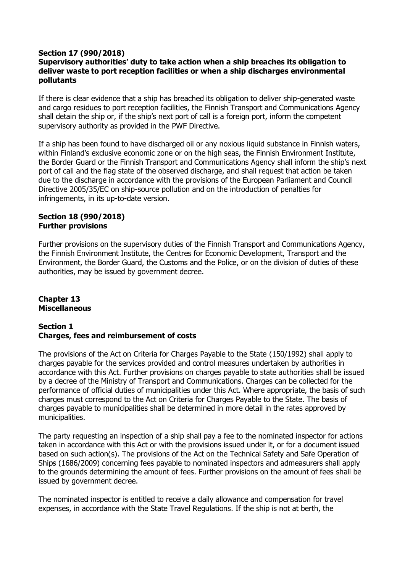### **Section 17 (990/2018)**

### **Supervisory authorities' duty to take action when a ship breaches its obligation to deliver waste to port reception facilities or when a ship discharges environmental pollutants**

If there is clear evidence that a ship has breached its obligation to deliver ship-generated waste and cargo residues to port reception facilities, the Finnish Transport and Communications Agency shall detain the ship or, if the ship's next port of call is a foreign port, inform the competent supervisory authority as provided in the PWF Directive.

If a ship has been found to have discharged oil or any noxious liquid substance in Finnish waters, within Finland's exclusive economic zone or on the high seas, the Finnish Environment Institute, the Border Guard or the Finnish Transport and Communications Agency shall inform the ship's next port of call and the flag state of the observed discharge, and shall request that action be taken due to the discharge in accordance with the provisions of the European Parliament and Council Directive 2005/35/EC on ship-source pollution and on the introduction of penalties for infringements, in its up-to-date version.

#### **Section 18 (990/2018) Further provisions**

Further provisions on the supervisory duties of the Finnish Transport and Communications Agency, the Finnish Environment Institute, the Centres for Economic Development, Transport and the Environment, the Border Guard, the Customs and the Police, or on the division of duties of these authorities, may be issued by government decree.

### **Chapter 13 Miscellaneous**

#### **Section 1 Charges, fees and reimbursement of costs**

The provisions of the Act on Criteria for Charges Payable to the State (150/1992) shall apply to charges payable for the services provided and control measures undertaken by authorities in accordance with this Act. Further provisions on charges payable to state authorities shall be issued by a decree of the Ministry of Transport and Communications. Charges can be collected for the performance of official duties of municipalities under this Act. Where appropriate, the basis of such charges must correspond to the Act on Criteria for Charges Payable to the State. The basis of charges payable to municipalities shall be determined in more detail in the rates approved by municipalities.

The party requesting an inspection of a ship shall pay a fee to the nominated inspector for actions taken in accordance with this Act or with the provisions issued under it, or for a document issued based on such action(s). The provisions of the Act on the Technical Safety and Safe Operation of Ships (1686/2009) concerning fees payable to nominated inspectors and admeasurers shall apply to the grounds determining the amount of fees. Further provisions on the amount of fees shall be issued by government decree.

The nominated inspector is entitled to receive a daily allowance and compensation for travel expenses, in accordance with the State Travel Regulations. If the ship is not at berth, the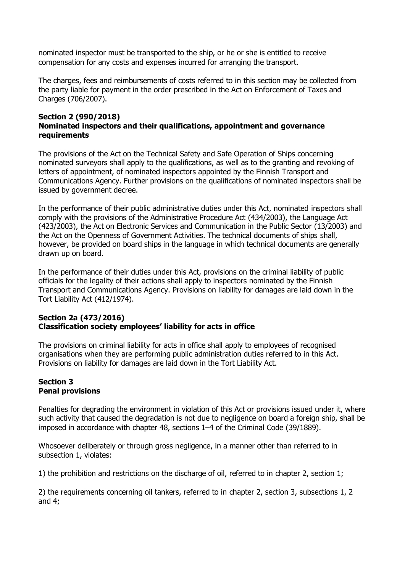nominated inspector must be transported to the ship, or he or she is entitled to receive compensation for any costs and expenses incurred for arranging the transport.

The charges, fees and reimbursements of costs referred to in this section may be collected from the party liable for payment in the order prescribed in the Act on Enforcement of Taxes and Charges (706/2007).

### **Section 2 (990/2018) Nominated inspectors and their qualifications, appointment and governance requirements**

The provisions of the Act on the Technical Safety and Safe Operation of Ships concerning nominated surveyors shall apply to the qualifications, as well as to the granting and revoking of letters of appointment, of nominated inspectors appointed by the Finnish Transport and Communications Agency. Further provisions on the qualifications of nominated inspectors shall be issued by government decree.

In the performance of their public administrative duties under this Act, nominated inspectors shall comply with the provisions of the Administrative Procedure Act (434/2003), the Language Act (423/2003), the Act on Electronic Services and Communication in the Public Sector (13/2003) and the Act on the Openness of Government Activities. The technical documents of ships shall, however, be provided on board ships in the language in which technical documents are generally drawn up on board.

In the performance of their duties under this Act, provisions on the criminal liability of public officials for the legality of their actions shall apply to inspectors nominated by the Finnish Transport and Communications Agency. Provisions on liability for damages are laid down in the Tort Liability Act (412/1974).

# **Section 2a (473/2016) Classification society employees' liability for acts in office**

The provisions on criminal liability for acts in office shall apply to employees of recognised organisations when they are performing public administration duties referred to in this Act. Provisions on liability for damages are laid down in the Tort Liability Act.

### **Section 3 Penal provisions**

Penalties for degrading the environment in violation of this Act or provisions issued under it, where such activity that caused the degradation is not due to negligence on board a foreign ship, shall be imposed in accordance with chapter 48, sections 1–4 of the Criminal Code (39/1889).

Whosoever deliberately or through gross negligence, in a manner other than referred to in subsection 1, violates:

1) the prohibition and restrictions on the discharge of oil, referred to in chapter 2, section 1;

2) the requirements concerning oil tankers, referred to in chapter 2, section 3, subsections 1, 2 and 4;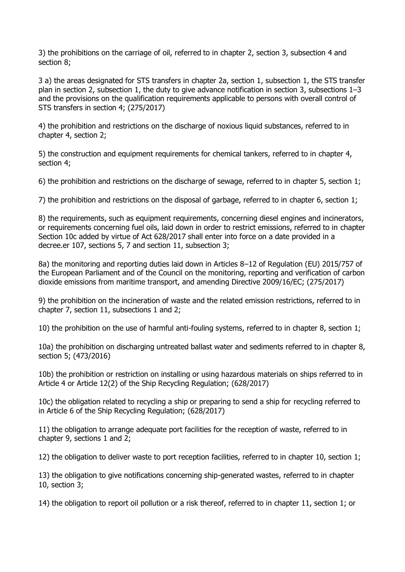3) the prohibitions on the carriage of oil, referred to in chapter 2, section 3, subsection 4 and section 8;

3 a) the areas designated for STS transfers in chapter 2a, section 1, subsection 1, the STS transfer plan in section 2, subsection 1, the duty to give advance notification in section 3, subsections 1–3 and the provisions on the qualification requirements applicable to persons with overall control of STS transfers in section 4; (275/2017)

4) the prohibition and restrictions on the discharge of noxious liquid substances, referred to in chapter 4, section 2;

5) the construction and equipment requirements for chemical tankers, referred to in chapter 4, section 4;

6) the prohibition and restrictions on the discharge of sewage, referred to in chapter 5, section 1;

7) the prohibition and restrictions on the disposal of garbage, referred to in chapter 6, section 1;

8) the requirements, such as equipment requirements, concerning diesel engines and incinerators, or requirements concerning fuel oils, laid down in order to restrict emissions, referred to in chapter Section 10c added by virtue of Act 628/2017 shall enter into force on a date provided in a decree.er 107, sections 5, 7 and section 11, subsection 3;

8a) the monitoring and reporting duties laid down in Articles 8-12 of Regulation (EU) 2015/757 of the European Parliament and of the Council on the monitoring, reporting and verification of carbon dioxide emissions from maritime transport, and amending Directive 2009/16/EC; (275/2017)

9) the prohibition on the incineration of waste and the related emission restrictions, referred to in chapter 7, section 11, subsections 1 and 2;

10) the prohibition on the use of harmful anti-fouling systems, referred to in chapter 8, section 1;

10a) the prohibition on discharging untreated ballast water and sediments referred to in chapter 8, section 5; (473/2016)

10b) the prohibition or restriction on installing or using hazardous materials on ships referred to in Article 4 or Article 12(2) of the Ship Recycling Regulation; (628/2017)

10c) the obligation related to recycling a ship or preparing to send a ship for recycling referred to in Article 6 of the Ship Recycling Regulation; (628/2017)

11) the obligation to arrange adequate port facilities for the reception of waste, referred to in chapter 9, sections 1 and 2;

12) the obligation to deliver waste to port reception facilities, referred to in chapter 10, section 1;

13) the obligation to give notifications concerning ship-generated wastes, referred to in chapter 10, section 3;

14) the obligation to report oil pollution or a risk thereof, referred to in chapter 11, section 1; or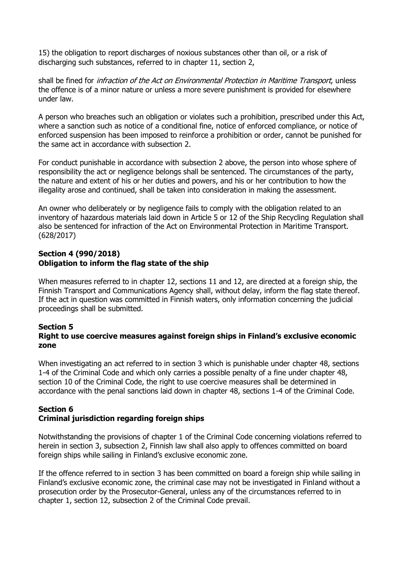15) the obligation to report discharges of noxious substances other than oil, or a risk of discharging such substances, referred to in chapter 11, section 2,

shall be fined for *infraction of the Act on Environmental Protection in Maritime Transport*, unless the offence is of a minor nature or unless a more severe punishment is provided for elsewhere under law.

A person who breaches such an obligation or violates such a prohibition, prescribed under this Act, where a sanction such as notice of a conditional fine, notice of enforced compliance, or notice of enforced suspension has been imposed to reinforce a prohibition or order, cannot be punished for the same act in accordance with subsection 2.

For conduct punishable in accordance with subsection 2 above, the person into whose sphere of responsibility the act or negligence belongs shall be sentenced. The circumstances of the party, the nature and extent of his or her duties and powers, and his or her contribution to how the illegality arose and continued, shall be taken into consideration in making the assessment.

An owner who deliberately or by negligence fails to comply with the obligation related to an inventory of hazardous materials laid down in Article 5 or 12 of the Ship Recycling Regulation shall also be sentenced for infraction of the Act on Environmental Protection in Maritime Transport. (628/2017)

### **Section 4 (990/2018) Obligation to inform the flag state of the ship**

When measures referred to in chapter 12, sections 11 and 12, are directed at a foreign ship, the Finnish Transport and Communications Agency shall, without delay, inform the flag state thereof. If the act in question was committed in Finnish waters, only information concerning the judicial proceedings shall be submitted.

#### **Section 5 Right to use coercive measures against foreign ships in Finland's exclusive economic zone**

When investigating an act referred to in section 3 which is punishable under chapter 48, sections 1-4 of the Criminal Code and which only carries a possible penalty of a fine under chapter 48, section 10 of the Criminal Code, the right to use coercive measures shall be determined in accordance with the penal sanctions laid down in chapter 48, sections 1-4 of the Criminal Code.

### **Section 6 Criminal jurisdiction regarding foreign ships**

Notwithstanding the provisions of chapter 1 of the Criminal Code concerning violations referred to herein in section 3, subsection 2, Finnish law shall also apply to offences committed on board foreign ships while sailing in Finland's exclusive economic zone.

If the offence referred to in section 3 has been committed on board a foreign ship while sailing in Finland's exclusive economic zone, the criminal case may not be investigated in Finland without a prosecution order by the Prosecutor-General, unless any of the circumstances referred to in chapter 1, section 12, subsection 2 of the Criminal Code prevail.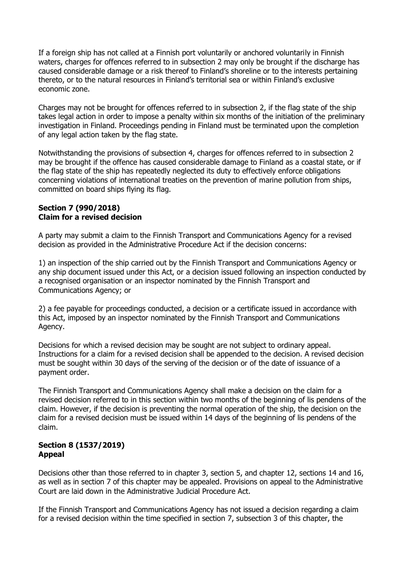If a foreign ship has not called at a Finnish port voluntarily or anchored voluntarily in Finnish waters, charges for offences referred to in subsection 2 may only be brought if the discharge has caused considerable damage or a risk thereof to Finland's shoreline or to the interests pertaining thereto, or to the natural resources in Finland's territorial sea or within Finland's exclusive economic zone.

Charges may not be brought for offences referred to in subsection 2, if the flag state of the ship takes legal action in order to impose a penalty within six months of the initiation of the preliminary investigation in Finland. Proceedings pending in Finland must be terminated upon the completion of any legal action taken by the flag state.

Notwithstanding the provisions of subsection 4, charges for offences referred to in subsection 2 may be brought if the offence has caused considerable damage to Finland as a coastal state, or if the flag state of the ship has repeatedly neglected its duty to effectively enforce obligations concerning violations of international treaties on the prevention of marine pollution from ships, committed on board ships flying its flag.

### **Section 7 (990/2018) Claim for a revised decision**

A party may submit a claim to the Finnish Transport and Communications Agency for a revised decision as provided in the Administrative Procedure Act if the decision concerns:

1) an inspection of the ship carried out by the Finnish Transport and Communications Agency or any ship document issued under this Act, or a decision issued following an inspection conducted by a recognised organisation or an inspector nominated by the Finnish Transport and Communications Agency; or

2) a fee payable for proceedings conducted, a decision or a certificate issued in accordance with this Act, imposed by an inspector nominated by the Finnish Transport and Communications Agency.

Decisions for which a revised decision may be sought are not subject to ordinary appeal. Instructions for a claim for a revised decision shall be appended to the decision. A revised decision must be sought within 30 days of the serving of the decision or of the date of issuance of a payment order.

The Finnish Transport and Communications Agency shall make a decision on the claim for a revised decision referred to in this section within two months of the beginning of lis pendens of the claim. However, if the decision is preventing the normal operation of the ship, the decision on the claim for a revised decision must be issued within 14 days of the beginning of lis pendens of the claim.

### **Section 8 (1537/2019) Appeal**

Decisions other than those referred to in chapter 3, section 5, and chapter 12, sections 14 and 16, as well as in section 7 of this chapter may be appealed. Provisions on appeal to the Administrative Court are laid down in the Administrative Judicial Procedure Act.

If the Finnish Transport and Communications Agency has not issued a decision regarding a claim for a revised decision within the time specified in section 7, subsection 3 of this chapter, the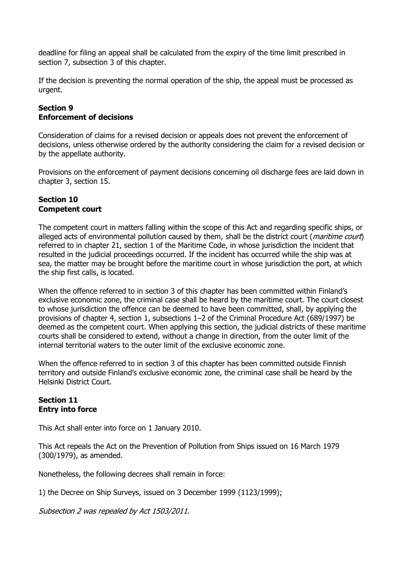deadline for filing an appeal shall be calculated from the expiry of the time limit prescribed in section 7, subsection 3 of this chapter.

If the decision is preventing the normal operation of the ship, the appeal must be processed as urgent.

# **Section 9 Enforcement of decisions**

Consideration of claims for a revised decision or appeals does not prevent the enforcement of decisions, unless otherwise ordered by the authority considering the claim for a revised decision or by the appellate authority.

Provisions on the enforcement of payment decisions concerning oil discharge fees are laid down in chapter 3, section 15.

### **Section 10 Competent court**

The competent court in matters falling within the scope of this Act and regarding specific ships, or alleged acts of environmental pollution caused by them, shall be the district court (*maritime court*) referred to in chapter 21, section 1 of the Maritime Code, in whose jurisdiction the incident that resulted in the judicial proceedings occurred. If the incident has occurred while the ship was at sea, the matter may be brought before the maritime court in whose jurisdiction the port, at which the ship first calls, is located.

When the offence referred to in section 3 of this chapter has been committed within Finland's exclusive economic zone, the criminal case shall be heard by the maritime court. The court closest to whose jurisdiction the offence can be deemed to have been committed, shall, by applying the provisions of chapter 4, section 1, subsections 1–2 of the Criminal Procedure Act (689/1997) be deemed as the competent court. When applying this section, the judicial districts of these maritime courts shall be considered to extend, without a change in direction, from the outer limit of the internal territorial waters to the outer limit of the exclusive economic zone.

When the offence referred to in section 3 of this chapter has been committed outside Finnish territory and outside Finland's exclusive economic zone, the criminal case shall be heard by the Helsinki District Court.

### **Section 11 Entry into force**

This Act shall enter into force on 1 January 2010.

This Act repeals the Act on the Prevention of Pollution from Ships issued on 16 March 1979 (300/1979), as amended.

Nonetheless, the following decrees shall remain in force:

1) the Decree on Ship Surveys, issued on 3 December 1999 (1123/1999);

Subsection 2 was repealed by Act 1503/2011.